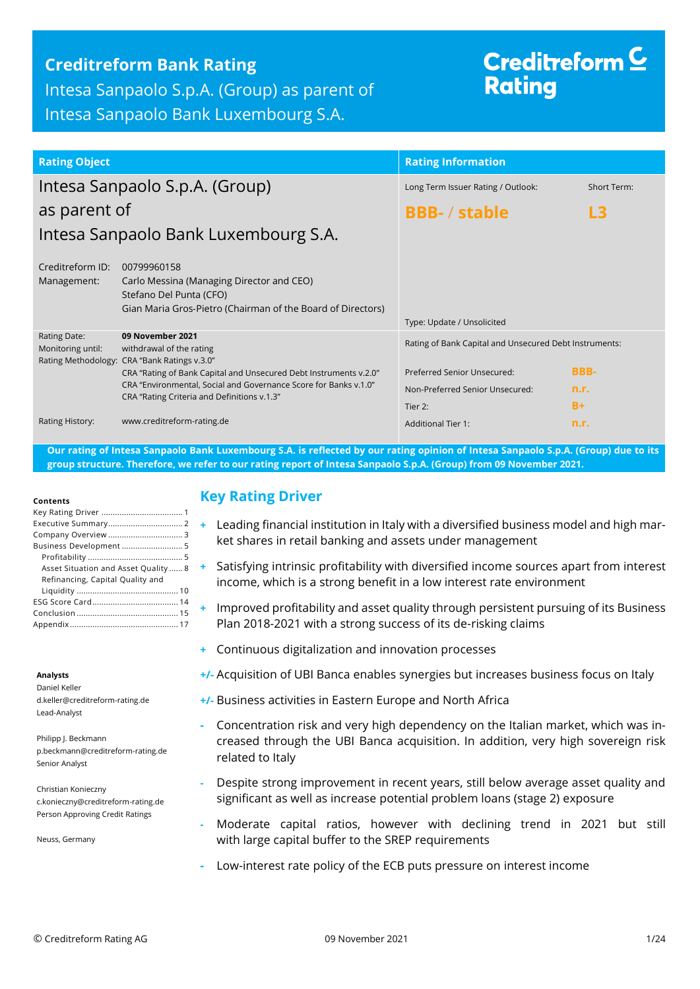## **Creditreform Bank Rating**

Intesa Sanpaolo S.p.A. (Group) as parent of Intesa Sanpaolo Bank Luxembourg S.A.

# Creditreform  $\subseteq$ **Rating**

| <b>Rating Object</b>                     |                                                                                                                                                                                                                                       | <b>Rating Information</b>                                                                                                |                     |
|------------------------------------------|---------------------------------------------------------------------------------------------------------------------------------------------------------------------------------------------------------------------------------------|--------------------------------------------------------------------------------------------------------------------------|---------------------|
| Intesa Sanpaolo S.p.A. (Group)           |                                                                                                                                                                                                                                       | Long Term Issuer Rating / Outlook:                                                                                       | <b>Short Term:</b>  |
| as parent of                             |                                                                                                                                                                                                                                       | <b>BBB-/stable</b><br>L3                                                                                                 |                     |
|                                          | Intesa Sanpaolo Bank Luxembourg S.A.                                                                                                                                                                                                  |                                                                                                                          |                     |
| Creditreform ID:<br>Management:          | 00799960158<br>Carlo Messina (Managing Director and CEO)<br>Stefano Del Punta (CFO)<br>Gian Maria Gros-Pietro (Chairman of the Board of Directors)                                                                                    | Type: Update / Unsolicited                                                                                               |                     |
| <b>Rating Date:</b><br>Monitoring until: | 09 November 2021<br>withdrawal of the rating<br>Rating Methodology: CRA "Bank Ratings v.3.0"<br>CRA "Rating of Bank Capital and Unsecured Debt Instruments v.2.0"<br>CRA "Environmental, Social and Governance Score for Banks v.1.0" | Rating of Bank Capital and Unsecured Debt Instruments:<br>Preferred Senior Unsecured:<br>Non-Preferred Senior Unsecured: | <b>BBB-</b><br>n.r. |
| Rating History:                          | CRA "Rating Criteria and Definitions v.1.3"<br>www.creditreform-rating.de                                                                                                                                                             | Tier 2:<br><b>Additional Tier 1:</b>                                                                                     | $B+$<br>n.r.        |

**Our rating of Intesa Sanpaolo Bank Luxembourg S.A. is reflected by our rating opinion of Intesa Sanpaolo S.p.A. (Group) due to its group structure. Therefore, we refer to our rating report of Intesa Sanpaolo S.p.A. (Group) from 09 November 2021.**

#### **Contents**

| Business Development  5              |
|--------------------------------------|
|                                      |
| Asset Situation and Asset Quality  8 |
| Refinancing, Capital Quality and     |
|                                      |
|                                      |
|                                      |
|                                      |

#### **Analysts**

Daniel Keller d.keller@creditreform-rating.de Lead-Analyst

Philipp J. Beckmann p.beckmann@creditreform-rating.de Senior Analyst

Christian Konieczny c.konieczny@creditreform-rating.de Person Approving Credit Ratings

Neuss, Germany

#### <span id="page-0-0"></span>**Key Rating Driver**

- **+** Leading financial institution in Italy with a diversified business model and high market shares in retail banking and assets under management
- **+** Satisfying intrinsic profitability with diversified income sources apart from interest income, which is a strong benefit in a low interest rate environment
- **+** Improved profitability and asset quality through persistent pursuing of its Business Plan 2018-2021 with a strong success of its de-risking claims
- **+** Continuous digitalization and innovation processes
- **+/-** Acquisition of UBI Banca enables synergies but increases business focus on Italy
- **+/-** Business activities in Eastern Europe and North Africa
- **-** Concentration risk and very high dependency on the Italian market, which was increased through the UBI Banca acquisition. In addition, very high sovereign risk related to Italy
- **-** Despite strong improvement in recent years, still below average asset quality and significant as well as increase potential problem loans (stage 2) exposure
- **-** Moderate capital ratios, however with declining trend in 2021 but still with large capital buffer to the SREP requirements
- **-** Low-interest rate policy of the ECB puts pressure on interest income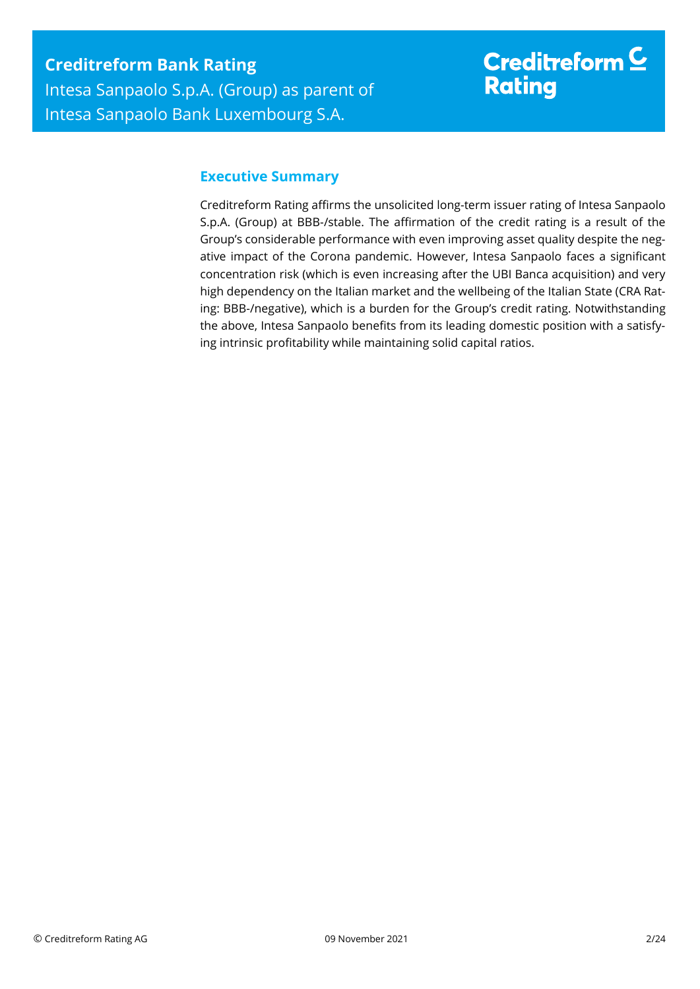# Creditreform  $$ **Rating**

## <span id="page-1-0"></span>**Executive Summary**

Creditreform Rating affirms the unsolicited long-term issuer rating of Intesa Sanpaolo S.p.A. (Group) at BBB-/stable. The affirmation of the credit rating is a result of the Group's considerable performance with even improving asset quality despite the negative impact of the Corona pandemic. However, Intesa Sanpaolo faces a significant concentration risk (which is even increasing after the UBI Banca acquisition) and very high dependency on the Italian market and the wellbeing of the Italian State (CRA Rating: BBB-/negative), which is a burden for the Group's credit rating. Notwithstanding the above, Intesa Sanpaolo benefits from its leading domestic position with a satisfying intrinsic profitability while maintaining solid capital ratios.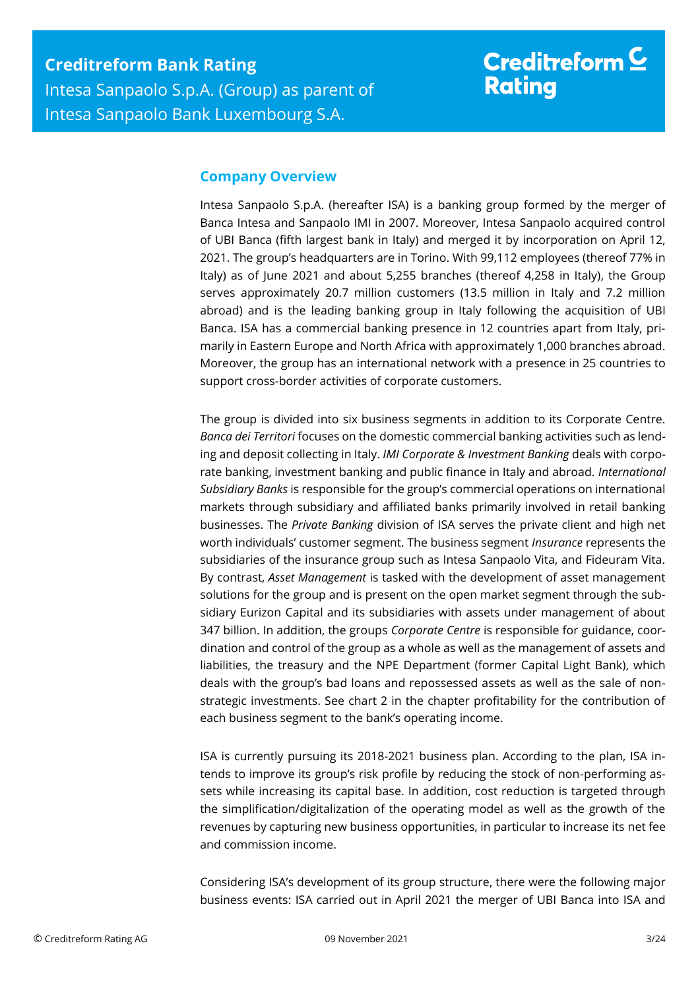### <span id="page-2-0"></span>**Company Overview**

Intesa Sanpaolo S.p.A. (hereafter ISA) is a banking group formed by the merger of Banca Intesa and Sanpaolo IMI in 2007. Moreover, Intesa Sanpaolo acquired control of UBI Banca (fifth largest bank in Italy) and merged it by incorporation on April 12, 2021. The group's headquarters are in Torino. With 99,112 employees (thereof 77% in Italy) as of June 2021 and about 5,255 branches (thereof 4,258 in Italy), the Group serves approximately 20.7 million customers (13.5 million in Italy and 7.2 million abroad) and is the leading banking group in Italy following the acquisition of UBI Banca. ISA has a commercial banking presence in 12 countries apart from Italy, primarily in Eastern Europe and North Africa with approximately 1,000 branches abroad. Moreover, the group has an international network with a presence in 25 countries to support cross-border activities of corporate customers.

The group is divided into six business segments in addition to its Corporate Centre. *Banca dei Territori* focuses on the domestic commercial banking activities such as lending and deposit collecting in Italy. *IMI Corporate & Investment Banking* deals with corporate banking, investment banking and public finance in Italy and abroad. *International Subsidiary Banks* is responsible for the group's commercial operations on international markets through subsidiary and affiliated banks primarily involved in retail banking businesses. The *Private Banking* division of ISA serves the private client and high net worth individuals' customer segment. The business segment *Insurance* represents the subsidiaries of the insurance group such as Intesa Sanpaolo Vita, and Fideuram Vita. By contrast, *Asset Management* is tasked with the development of asset management solutions for the group and is present on the open market segment through the subsidiary Eurizon Capital and its subsidiaries with assets under management of about 347 billion. In addition, the groups *Corporate Centre* is responsible for guidance, coordination and control of the group as a whole as well as the management of assets and liabilities, the treasury and the NPE Department (former Capital Light Bank), which deals with the group's bad loans and repossessed assets as well as the sale of nonstrategic investments. See chart 2 in the chapter profitability for the contribution of each business segment to the bank's operating income.

ISA is currently pursuing its 2018-2021 business plan. According to the plan, ISA intends to improve its group's risk profile by reducing the stock of non-performing assets while increasing its capital base. In addition, cost reduction is targeted through the simplification/digitalization of the operating model as well as the growth of the revenues by capturing new business opportunities, in particular to increase its net fee and commission income.

Considering ISA's development of its group structure, there were the following major business events: ISA carried out in April 2021 the merger of UBI Banca into ISA and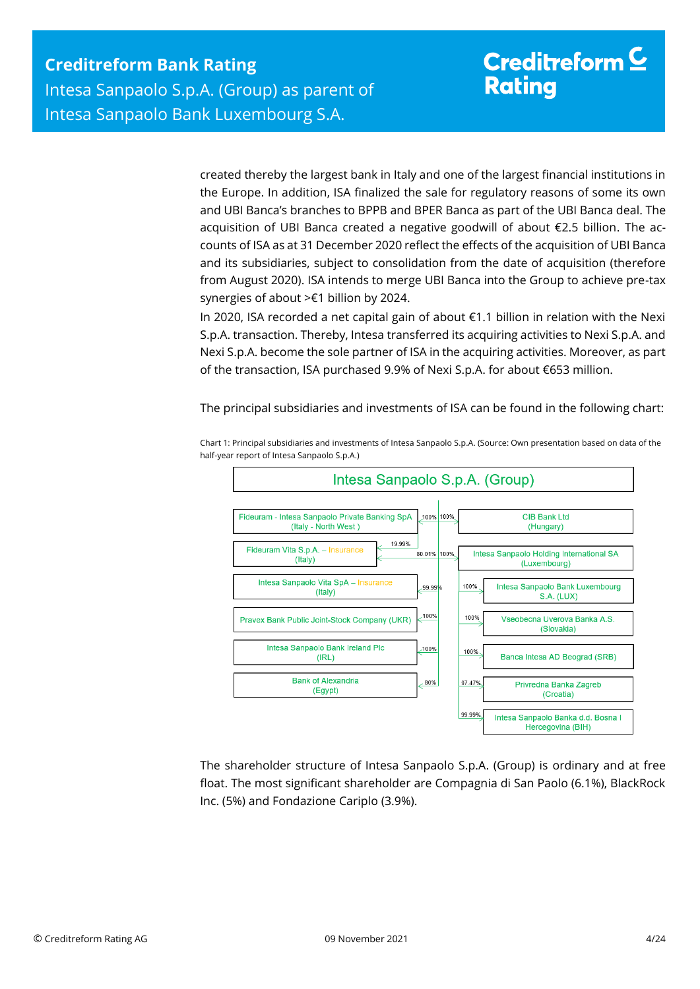created thereby the largest bank in Italy and one of the largest financial institutions in the Europe. In addition, ISA finalized the sale for regulatory reasons of some its own and UBI Banca's branches to BPPB and BPER Banca as part of the UBI Banca deal. The acquisition of UBI Banca created a negative goodwill of about €2.5 billion. The accounts of ISA as at 31 December 2020 reflect the effects of the acquisition of UBI Banca and its subsidiaries, subject to consolidation from the date of acquisition (therefore from August 2020). ISA intends to merge UBI Banca into the Group to achieve pre-tax synergies of about >€1 billion by 2024.

In 2020, ISA recorded a net capital gain of about €1.1 billion in relation with the Nexi S.p.A. transaction. Thereby, Intesa transferred its acquiring activities to Nexi S.p.A. and Nexi S.p.A. become the sole partner of ISA in the acquiring activities. Moreover, as part of the transaction, ISA purchased 9.9% of Nexi S.p.A. for about €653 million.

The principal subsidiaries and investments of ISA can be found in the following chart:



Chart 1: Principal subsidiaries and investments of Intesa Sanpaolo S.p.A. (Source: Own presentation based on data of the half-year report of Intesa Sanpaolo S.p.A.)

The shareholder structure of Intesa Sanpaolo S.p.A. (Group) is ordinary and at free float. The most significant shareholder are Compagnia di San Paolo (6.1%), BlackRock Inc. (5%) and Fondazione Cariplo (3.9%).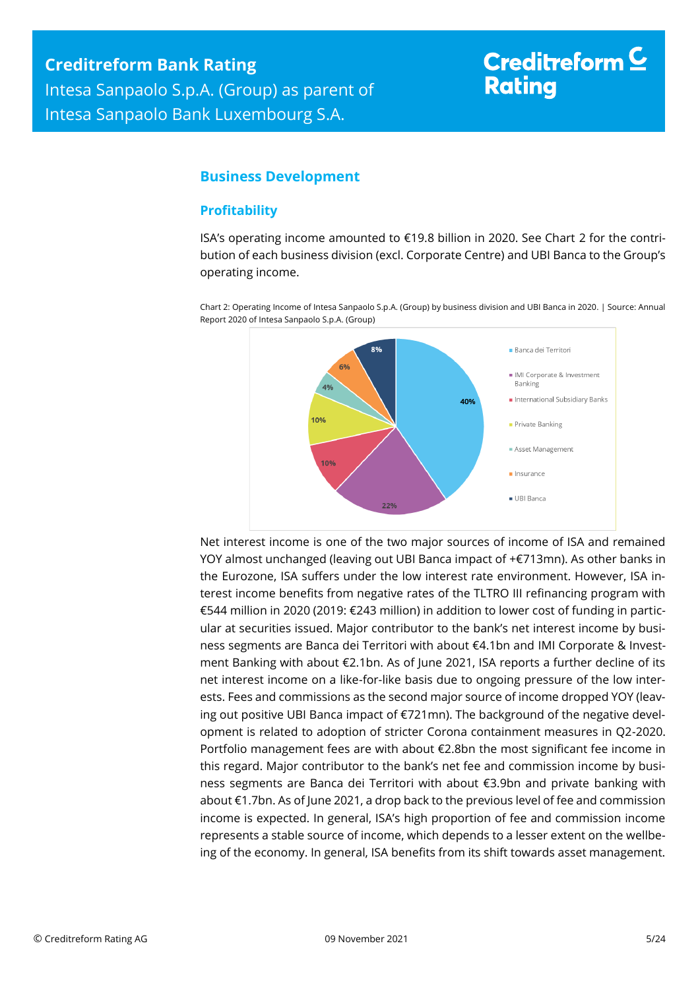# Creditreform  $\subseteq$ **Rating**

## <span id="page-4-0"></span>**Business Development**

#### <span id="page-4-1"></span>**Profitability**

ISA's operating income amounted to €19.8 billion in 2020. See Chart 2 for the contribution of each business division (excl. Corporate Centre) and UBI Banca to the Group's operating income.

Chart 2: Operating Income of Intesa Sanpaolo S.p.A. (Group) by business division and UBI Banca in 2020. | Source: Annual Report 2020 of Intesa Sanpaolo S.p.A. (Group)



Net interest income is one of the two major sources of income of ISA and remained YOY almost unchanged (leaving out UBI Banca impact of +€713mn). As other banks in the Eurozone, ISA suffers under the low interest rate environment. However, ISA interest income benefits from negative rates of the TLTRO III refinancing program with €544 million in 2020 (2019: €243 million) in addition to lower cost of funding in particular at securities issued. Major contributor to the bank's net interest income by business segments are Banca dei Territori with about €4.1bn and IMI Corporate & Investment Banking with about €2.1bn. As of June 2021, ISA reports a further decline of its net interest income on a like-for-like basis due to ongoing pressure of the low interests. Fees and commissions as the second major source of income dropped YOY (leaving out positive UBI Banca impact of €721mn). The background of the negative development is related to adoption of stricter Corona containment measures in Q2-2020. Portfolio management fees are with about €2.8bn the most significant fee income in this regard. Major contributor to the bank's net fee and commission income by business segments are Banca dei Territori with about €3.9bn and private banking with about €1.7bn. As of June 2021, a drop back to the previous level of fee and commission income is expected. In general, ISA's high proportion of fee and commission income represents a stable source of income, which depends to a lesser extent on the wellbeing of the economy. In general, ISA benefits from its shift towards asset management.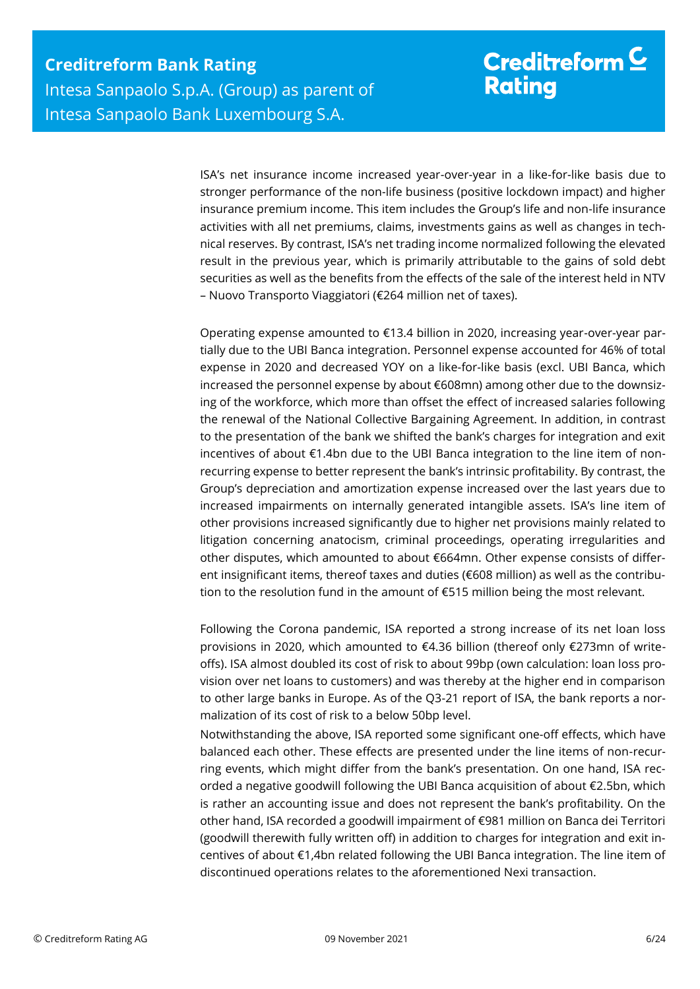# Creditreform  $\mathsf{\underline{C}}$ **Rating**

ISA's net insurance income increased year-over-year in a like-for-like basis due to stronger performance of the non-life business (positive lockdown impact) and higher insurance premium income. This item includes the Group's life and non-life insurance activities with all net premiums, claims, investments gains as well as changes in technical reserves. By contrast, ISA's net trading income normalized following the elevated result in the previous year, which is primarily attributable to the gains of sold debt securities as well as the benefits from the effects of the sale of the interest held in NTV – Nuovo Transporto Viaggiatori (€264 million net of taxes).

Operating expense amounted to €13.4 billion in 2020, increasing year-over-year partially due to the UBI Banca integration. Personnel expense accounted for 46% of total expense in 2020 and decreased YOY on a like-for-like basis (excl. UBI Banca, which increased the personnel expense by about €608mn) among other due to the downsizing of the workforce, which more than offset the effect of increased salaries following the renewal of the National Collective Bargaining Agreement. In addition, in contrast to the presentation of the bank we shifted the bank's charges for integration and exit incentives of about €1.4bn due to the UBI Banca integration to the line item of nonrecurring expense to better represent the bank's intrinsic profitability. By contrast, the Group's depreciation and amortization expense increased over the last years due to increased impairments on internally generated intangible assets. ISA's line item of other provisions increased significantly due to higher net provisions mainly related to litigation concerning anatocism, criminal proceedings, operating irregularities and other disputes, which amounted to about €664mn. Other expense consists of different insignificant items, thereof taxes and duties (€608 million) as well as the contribution to the resolution fund in the amount of €515 million being the most relevant.

Following the Corona pandemic, ISA reported a strong increase of its net loan loss provisions in 2020, which amounted to €4.36 billion (thereof only €273mn of writeoffs). ISA almost doubled its cost of risk to about 99bp (own calculation: loan loss provision over net loans to customers) and was thereby at the higher end in comparison to other large banks in Europe. As of the Q3-21 report of ISA, the bank reports a normalization of its cost of risk to a below 50bp level.

Notwithstanding the above, ISA reported some significant one-off effects, which have balanced each other. These effects are presented under the line items of non-recurring events, which might differ from the bank's presentation. On one hand, ISA recorded a negative goodwill following the UBI Banca acquisition of about €2.5bn, which is rather an accounting issue and does not represent the bank's profitability. On the other hand, ISA recorded a goodwill impairment of €981 million on Banca dei Territori (goodwill therewith fully written off) in addition to charges for integration and exit incentives of about €1,4bn related following the UBI Banca integration. The line item of discontinued operations relates to the aforementioned Nexi transaction.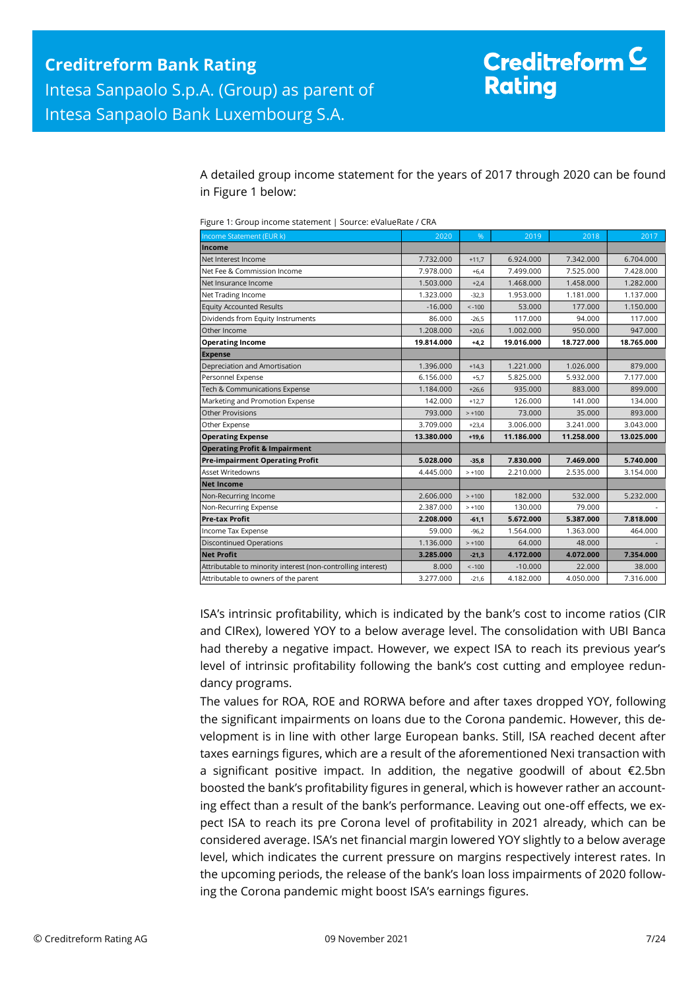A detailed group income statement for the years of 2017 through 2020 can be found in Figure 1 below:

| Income Statement (EUR k)                                     | 2020       | %        | 2019       | 2018       | 2017       |
|--------------------------------------------------------------|------------|----------|------------|------------|------------|
| Income                                                       |            |          |            |            |            |
| Net Interest Income                                          | 7.732.000  | $+11,7$  | 6.924.000  | 7.342.000  | 6.704.000  |
| Net Fee & Commission Income                                  | 7.978.000  | $+6.4$   | 7.499.000  | 7.525.000  | 7.428.000  |
| Net Insurance Income                                         | 1.503.000  | $+2,4$   | 1.468.000  | 1.458.000  | 1.282.000  |
| Net Trading Income                                           | 1.323.000  | $-32.3$  | 1.953.000  | 1.181.000  | 1.137.000  |
| <b>Equity Accounted Results</b>                              | $-16.000$  | $< -100$ | 53,000     | 177,000    | 1.150.000  |
| Dividends from Equity Instruments                            | 86.000     | $-26.5$  | 117.000    | 94.000     | 117.000    |
| Other Income                                                 | 1.208.000  | $+20,6$  | 1.002.000  | 950.000    | 947.000    |
| <b>Operating Income</b>                                      | 19.814.000 | $+4,2$   | 19.016.000 | 18.727.000 | 18.765.000 |
| <b>Expense</b>                                               |            |          |            |            |            |
| Depreciation and Amortisation                                | 1.396.000  | $+14,3$  | 1.221.000  | 1.026.000  | 879.000    |
| Personnel Expense                                            | 6.156.000  | $+5.7$   | 5.825.000  | 5.932.000  | 7.177.000  |
| Tech & Communications Expense                                | 1.184.000  | $+26.6$  | 935.000    | 883.000    | 899,000    |
| Marketing and Promotion Expense                              | 142.000    | $+12,7$  | 126.000    | 141.000    | 134.000    |
| <b>Other Provisions</b>                                      | 793.000    | $> +100$ | 73,000     | 35.000     | 893.000    |
| Other Expense                                                | 3.709.000  | $+23,4$  | 3.006.000  | 3.241.000  | 3.043.000  |
| <b>Operating Expense</b>                                     | 13.380.000 | $+19,6$  | 11.186.000 | 11.258.000 | 13.025.000 |
| <b>Operating Profit &amp; Impairment</b>                     |            |          |            |            |            |
| <b>Pre-impairment Operating Profit</b>                       | 5.028.000  | $-35,8$  | 7.830.000  | 7.469.000  | 5.740.000  |
| <b>Asset Writedowns</b>                                      | 4.445.000  | $> +100$ | 2.210.000  | 2.535.000  | 3.154.000  |
| <b>Net Income</b>                                            |            |          |            |            |            |
| Non-Recurring Income                                         | 2.606.000  | $> +100$ | 182,000    | 532.000    | 5.232.000  |
| Non-Recurring Expense                                        | 2.387.000  | $> +100$ | 130.000    | 79.000     |            |
| <b>Pre-tax Profit</b>                                        | 2.208.000  | $-61,1$  | 5.672.000  | 5.387.000  | 7.818.000  |
| Income Tax Expense                                           | 59.000     | $-96,2$  | 1.564.000  | 1.363.000  | 464.000    |
| <b>Discontinued Operations</b>                               | 1.136.000  | $> +100$ | 64.000     | 48.000     |            |
| <b>Net Profit</b>                                            | 3.285.000  | $-21,3$  | 4.172.000  | 4.072.000  | 7.354.000  |
| Attributable to minority interest (non-controlling interest) | 8.000      | $< -100$ | $-10.000$  | 22.000     | 38.000     |
| Attributable to owners of the parent                         | 3.277.000  | $-21,6$  | 4.182.000  | 4.050.000  | 7.316.000  |

ISA's intrinsic profitability, which is indicated by the bank's cost to income ratios (CIR and CIRex), lowered YOY to a below average level. The consolidation with UBI Banca had thereby a negative impact. However, we expect ISA to reach its previous year's level of intrinsic profitability following the bank's cost cutting and employee redundancy programs.

The values for ROA, ROE and RORWA before and after taxes dropped YOY, following the significant impairments on loans due to the Corona pandemic. However, this development is in line with other large European banks. Still, ISA reached decent after taxes earnings figures, which are a result of the aforementioned Nexi transaction with a significant positive impact. In addition, the negative goodwill of about €2.5bn boosted the bank's profitability figures in general, which is however rather an accounting effect than a result of the bank's performance. Leaving out one-off effects, we expect ISA to reach its pre Corona level of profitability in 2021 already, which can be considered average. ISA's net financial margin lowered YOY slightly to a below average level, which indicates the current pressure on margins respectively interest rates. In the upcoming periods, the release of the bank's loan loss impairments of 2020 following the Corona pandemic might boost ISA's earnings figures.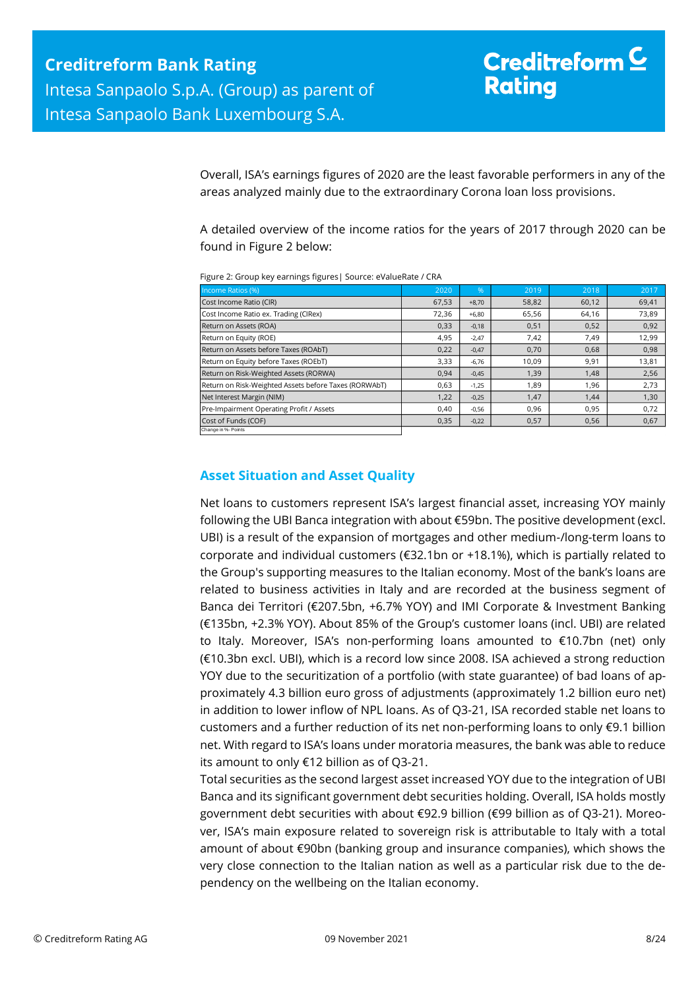Overall, ISA's earnings figures of 2020 are the least favorable performers in any of the areas analyzed mainly due to the extraordinary Corona loan loss provisions.

A detailed overview of the income ratios for the years of 2017 through 2020 can be found in Figure 2 below:

| Income Ratios (%)                                     | 2020  | %       | 2019  | 2018  | 2017  |
|-------------------------------------------------------|-------|---------|-------|-------|-------|
| Cost Income Ratio (CIR)                               | 67,53 | $+8.70$ | 58,82 | 60,12 | 69,41 |
| Cost Income Ratio ex. Trading (CIRex)                 | 72,36 | $+6,80$ | 65,56 | 64,16 | 73,89 |
| Return on Assets (ROA)                                | 0,33  | $-0,18$ | 0,51  | 0,52  | 0,92  |
| Return on Equity (ROE)                                | 4,95  | $-2.47$ | 7,42  | 7,49  | 12,99 |
| Return on Assets before Taxes (ROAbT)                 | 0,22  | $-0,47$ | 0,70  | 0,68  | 0,98  |
| Return on Equity before Taxes (ROEbT)                 | 3,33  | $-6,76$ | 10,09 | 9,91  | 13,81 |
| Return on Risk-Weighted Assets (RORWA)                | 0,94  | $-0,45$ | 1,39  | 1,48  | 2,56  |
| Return on Risk-Weighted Assets before Taxes (RORWAbT) | 0,63  | $-1,25$ | 1,89  | 1,96  | 2,73  |
| Net Interest Margin (NIM)                             | 1,22  | $-0,25$ | 1,47  | 1,44  | 1,30  |
| Pre-Impairment Operating Profit / Assets              | 0.40  | $-0,56$ | 0.96  | 0,95  | 0,72  |
| Cost of Funds (COF)                                   | 0,35  | $-0,22$ | 0,57  | 0,56  | 0,67  |
| Change in %- Points                                   |       |         |       |       |       |

Figure 2: Group key earnings figures| Source: eValueRate / CRA

### <span id="page-7-0"></span>**Asset Situation and Asset Quality**

Net loans to customers represent ISA's largest financial asset, increasing YOY mainly following the UBI Banca integration with about €59bn. The positive development (excl. UBI) is a result of the expansion of mortgages and other medium-/long-term loans to corporate and individual customers (€32.1bn or +18.1%), which is partially related to the Group's supporting measures to the Italian economy. Most of the bank's loans are related to business activities in Italy and are recorded at the business segment of Banca dei Territori (€207.5bn, +6.7% YOY) and IMI Corporate & Investment Banking (€135bn, +2.3% YOY). About 85% of the Group's customer loans (incl. UBI) are related to Italy. Moreover, ISA's non-performing loans amounted to €10.7bn (net) only (€10.3bn excl. UBI), which is a record low since 2008. ISA achieved a strong reduction YOY due to the securitization of a portfolio (with state guarantee) of bad loans of approximately 4.3 billion euro gross of adjustments (approximately 1.2 billion euro net) in addition to lower inflow of NPL loans. As of Q3-21, ISA recorded stable net loans to customers and a further reduction of its net non-performing loans to only €9.1 billion net. With regard to ISA's loans under moratoria measures, the bank was able to reduce its amount to only €12 billion as of Q3-21.

Total securities as the second largest asset increased YOY due to the integration of UBI Banca and its significant government debt securities holding. Overall, ISA holds mostly government debt securities with about €92.9 billion (€99 billion as of Q3-21). Moreover, ISA's main exposure related to sovereign risk is attributable to Italy with a total amount of about €90bn (banking group and insurance companies), which shows the very close connection to the Italian nation as well as a particular risk due to the dependency on the wellbeing on the Italian economy.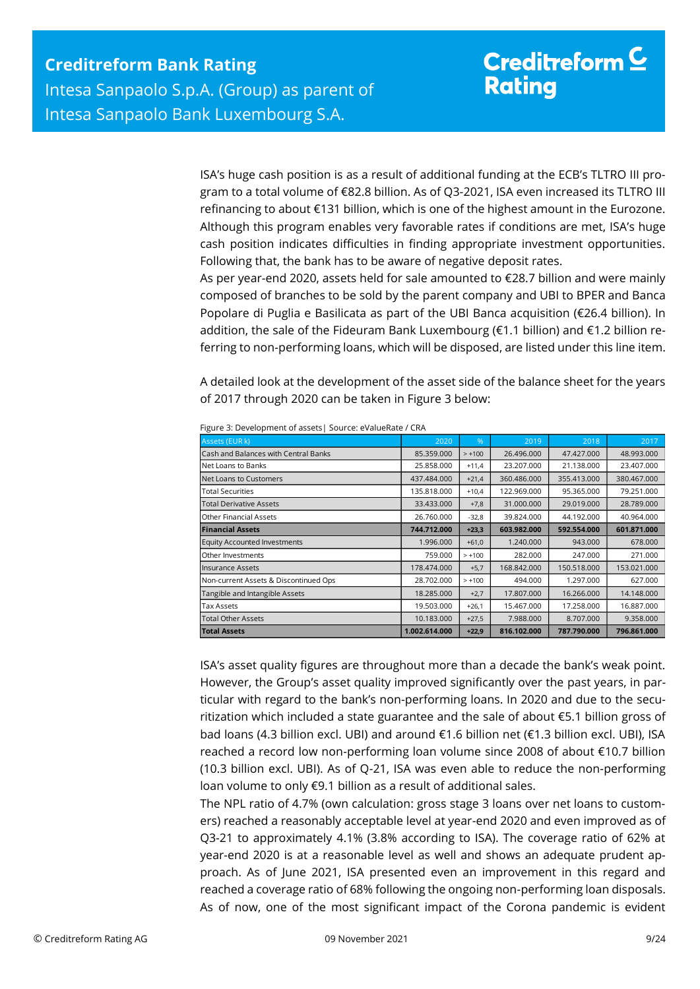ISA's huge cash position is as a result of additional funding at the ECB's TLTRO III program to a total volume of €82.8 billion. As of Q3-2021, ISA even increased its TLTRO III refinancing to about €131 billion, which is one of the highest amount in the Eurozone. Although this program enables very favorable rates if conditions are met, ISA's huge cash position indicates difficulties in finding appropriate investment opportunities. Following that, the bank has to be aware of negative deposit rates.

As per year-end 2020, assets held for sale amounted to €28.7 billion and were mainly composed of branches to be sold by the parent company and UBI to BPER and Banca Popolare di Puglia e Basilicata as part of the UBI Banca acquisition (€26.4 billion). In addition, the sale of the Fideuram Bank Luxembourg (€1.1 billion) and €1.2 billion referring to non-performing loans, which will be disposed, are listed under this line item.

A detailed look at the development of the asset side of the balance sheet for the years of 2017 through 2020 can be taken in Figure 3 below:

| Assets (EUR k)                                                                                                                                                        | 2020                        | %                  | 2019                     | 2018                                                                              | 2017                                                                                        |  |  |  |  |  |  |
|-----------------------------------------------------------------------------------------------------------------------------------------------------------------------|-----------------------------|--------------------|--------------------------|-----------------------------------------------------------------------------------|---------------------------------------------------------------------------------------------|--|--|--|--|--|--|
| Cash and Balances with Central Banks                                                                                                                                  | 85.359.000                  | $> +100$           | 26.496.000               | 47.427.000                                                                        | 48.993.000                                                                                  |  |  |  |  |  |  |
| Net Loans to Banks                                                                                                                                                    | 25.858.000                  | $+11,4$            | 23.207.000               | 21.138.000                                                                        | 23.407.000                                                                                  |  |  |  |  |  |  |
| Net Loans to Customers                                                                                                                                                | 437.484.000                 | $+21,4$            | 360.486.000              | 355.413.000                                                                       | 380.467.000                                                                                 |  |  |  |  |  |  |
| <b>Total Securities</b>                                                                                                                                               | 135.818.000                 | $+10,4$            | 122.969.000              | 95.365.000                                                                        | 79.251.000                                                                                  |  |  |  |  |  |  |
| <b>Total Derivative Assets</b>                                                                                                                                        | 33.433.000                  | $+7,8$             | 31.000.000               | 29.019.000                                                                        | 28.789.000                                                                                  |  |  |  |  |  |  |
| Other Financial Assets                                                                                                                                                | 26.760.000                  | $-32,8$            | 39.824.000               | 44.192.000                                                                        | 40.964.000                                                                                  |  |  |  |  |  |  |
| <b>Financial Assets</b>                                                                                                                                               | 744.712.000                 | $+23,3$            | 603.982.000              | 592.554.000                                                                       | 601.871.000                                                                                 |  |  |  |  |  |  |
| <b>Equity Accounted Investments</b>                                                                                                                                   | 1.996.000                   | $+61,0$            | 1.240.000                | 943.000                                                                           | 678,000                                                                                     |  |  |  |  |  |  |
| Other Investments                                                                                                                                                     | 759.000                     | $> +100$           | 282.000                  | 247.000                                                                           | 271.000                                                                                     |  |  |  |  |  |  |
| Insurance Assets                                                                                                                                                      | 178.474.000                 | $+5,7$             | 168.842.000              | 150.518.000                                                                       | 153.021.000                                                                                 |  |  |  |  |  |  |
| Non-current Assets & Discontinued Ops                                                                                                                                 | 28.702.000                  | $> +100$           | 494.000                  | 1.297.000                                                                         | 627.000                                                                                     |  |  |  |  |  |  |
| Tangible and Intangible Assets                                                                                                                                        | 18.285.000                  | $+2,7$             | 17.807.000               | 16.266.000                                                                        | 14.148.000                                                                                  |  |  |  |  |  |  |
| <b>Tax Assets</b>                                                                                                                                                     | 19.503.000                  | $+26,1$            | 15.467.000               | 17.258.000                                                                        | 16.887.000                                                                                  |  |  |  |  |  |  |
| <b>Total Other Assets</b><br><b>Total Assets</b>                                                                                                                      | 10.183.000<br>1.002.614.000 | $+27,5$<br>$+22,9$ | 7.988.000<br>816.102.000 | 8.707.000<br>787.790.000                                                          | 9.358.000<br>796.861.000                                                                    |  |  |  |  |  |  |
| However, the Group's asset quality improved significantly over the past years, in par-                                                                                |                             |                    |                          |                                                                                   |                                                                                             |  |  |  |  |  |  |
|                                                                                                                                                                       |                             |                    |                          |                                                                                   |                                                                                             |  |  |  |  |  |  |
| ticular with regard to the bank's non-performing loans. In 2020 and due to the secu-                                                                                  |                             |                    |                          |                                                                                   |                                                                                             |  |  |  |  |  |  |
| ritization which included a state guarantee and the sale of about €5.1 billion gross of                                                                               |                             |                    |                          |                                                                                   |                                                                                             |  |  |  |  |  |  |
|                                                                                                                                                                       |                             |                    |                          |                                                                                   |                                                                                             |  |  |  |  |  |  |
|                                                                                                                                                                       |                             |                    |                          |                                                                                   | bad loans (4.3 billion excl. UBI) and around €1.6 billion net (€1.3 billion excl. UBI), ISA |  |  |  |  |  |  |
|                                                                                                                                                                       |                             |                    |                          | reached a record low non-performing loan volume since 2008 of about €10.7 billion |                                                                                             |  |  |  |  |  |  |
| (10.3 billion excl. UBI). As of Q-21, ISA was even able to reduce the non-performing                                                                                  |                             |                    |                          |                                                                                   |                                                                                             |  |  |  |  |  |  |
| loan volume to only €9.1 billion as a result of additional sales.                                                                                                     |                             |                    |                          |                                                                                   |                                                                                             |  |  |  |  |  |  |
|                                                                                                                                                                       |                             |                    |                          |                                                                                   |                                                                                             |  |  |  |  |  |  |
|                                                                                                                                                                       |                             |                    |                          |                                                                                   |                                                                                             |  |  |  |  |  |  |
| The NPL ratio of 4.7% (own calculation: gross stage 3 loans over net loans to custom-                                                                                 |                             |                    |                          |                                                                                   |                                                                                             |  |  |  |  |  |  |
| ers) reached a reasonably acceptable level at year-end 2020 and even improved as of                                                                                   |                             |                    |                          |                                                                                   |                                                                                             |  |  |  |  |  |  |
| Q3-21 to approximately 4.1% (3.8% according to ISA). The coverage ratio of 62% at                                                                                     |                             |                    |                          |                                                                                   |                                                                                             |  |  |  |  |  |  |
| year-end 2020 is at a reasonable level as well and shows an adequate prudent ap-                                                                                      |                             |                    |                          |                                                                                   |                                                                                             |  |  |  |  |  |  |
| proach. As of June 2021, ISA presented even an improvement in this regard and<br>reached a coverage ratio of 68% following the ongoing non-performing loan disposals. |                             |                    |                          |                                                                                   |                                                                                             |  |  |  |  |  |  |

Figure 3: Development of assets| Source: eValueRate / CRA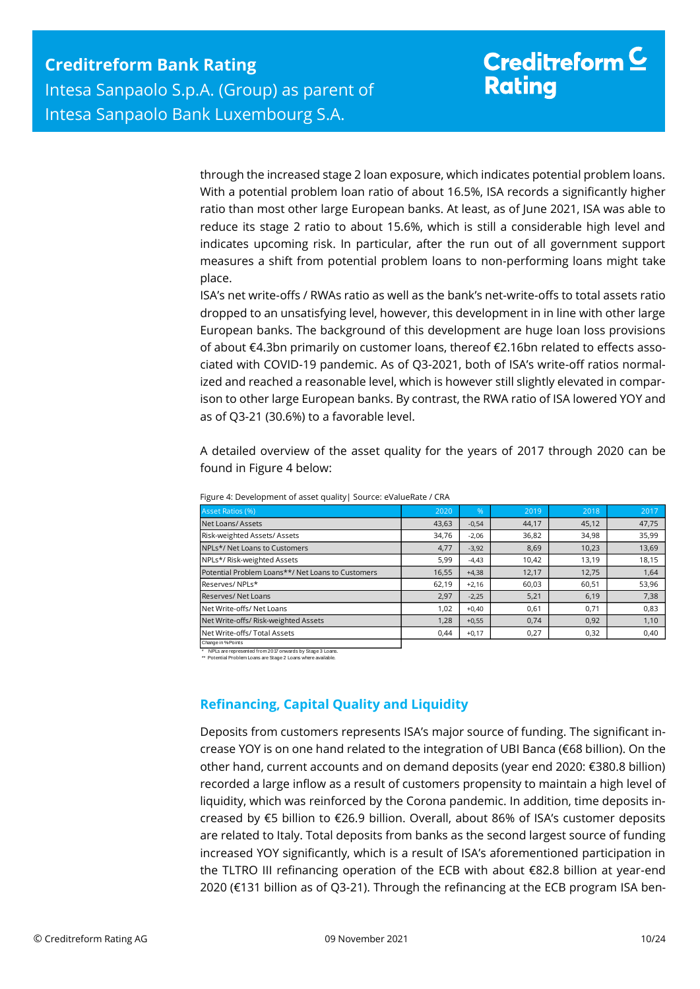through the increased stage 2 loan exposure, which indicates potential problem loans. With a potential problem loan ratio of about 16.5%, ISA records a significantly higher ratio than most other large European banks. At least, as of June 2021, ISA was able to reduce its stage 2 ratio to about 15.6%, which is still a considerable high level and indicates upcoming risk. In particular, after the run out of all government support measures a shift from potential problem loans to non-performing loans might take place.

ISA's net write-offs / RWAs ratio as well as the bank's net-write-offs to total assets ratio dropped to an unsatisfying level, however, this development in in line with other large European banks. The background of this development are huge loan loss provisions of about €4.3bn primarily on customer loans, thereof €2.16bn related to effects associated with COVID-19 pandemic. As of Q3-2021, both of ISA's write-off ratios normalized and reached a reasonable level, which is however still slightly elevated in comparison to other large European banks. By contrast, the RWA ratio of ISA lowered YOY and as of Q3-21 (30.6%) to a favorable level.

A detailed overview of the asset quality for the years of 2017 through 2020 can be found in Figure 4 below:

| Asset Ratios (%)                                  | 2020  | $\%$    | 2019  | 2018  | 2017  |
|---------------------------------------------------|-------|---------|-------|-------|-------|
| Net Loans/Assets                                  | 43,63 | $-0,54$ | 44,17 | 45,12 | 47,75 |
| Risk-weighted Assets/Assets                       | 34,76 | $-2,06$ | 36,82 | 34,98 | 35,99 |
| NPLs*/ Net Loans to Customers                     | 4,77  | $-3,92$ | 8,69  | 10,23 | 13,69 |
| NPLs*/Risk-weighted Assets                        | 5,99  | $-4,43$ | 10,42 | 13,19 | 18,15 |
| Potential Problem Loans**/ Net Loans to Customers | 16,55 | $+4,38$ | 12,17 | 12,75 | 1,64  |
| Reserves/NPLs*                                    | 62.19 | $+2.16$ | 60,03 | 60.51 | 53,96 |
| Reserves/Net Loans                                | 2,97  | $-2,25$ | 5,21  | 6,19  | 7,38  |
| Net Write-offs/ Net Loans                         | 1,02  | $+0,40$ | 0,61  | 0,71  | 0,83  |
| Net Write-offs/ Risk-weighted Assets              | 1,28  | $+0,55$ | 0.74  | 0.92  | 1,10  |
| Net Write-offs/ Total Assets                      | 0.44  | $+0,17$ | 0,27  | 0,32  | 0,40  |
|                                                   |       |         |       |       |       |

Figure 4: Development of asset quality| Source: eValueRate / CRA

Change in %-Points

\* NPLs are represented from 2017 onwards by Stage 3 Loans. \*\* Potential Problem Loans are Stage 2 Loans where available.

## <span id="page-9-0"></span>**Refinancing, Capital Quality and Liquidity**

Deposits from customers represents ISA's major source of funding. The significant increase YOY is on one hand related to the integration of UBI Banca (€68 billion). On the other hand, current accounts and on demand deposits (year end 2020: €380.8 billion) recorded a large inflow as a result of customers propensity to maintain a high level of liquidity, which was reinforced by the Corona pandemic. In addition, time deposits increased by €5 billion to €26.9 billion. Overall, about 86% of ISA's customer deposits are related to Italy. Total deposits from banks as the second largest source of funding increased YOY significantly, which is a result of ISA's aforementioned participation in the TLTRO III refinancing operation of the ECB with about €82.8 billion at year-end 2020 (€131 billion as of Q3-21). Through the refinancing at the ECB program ISA ben-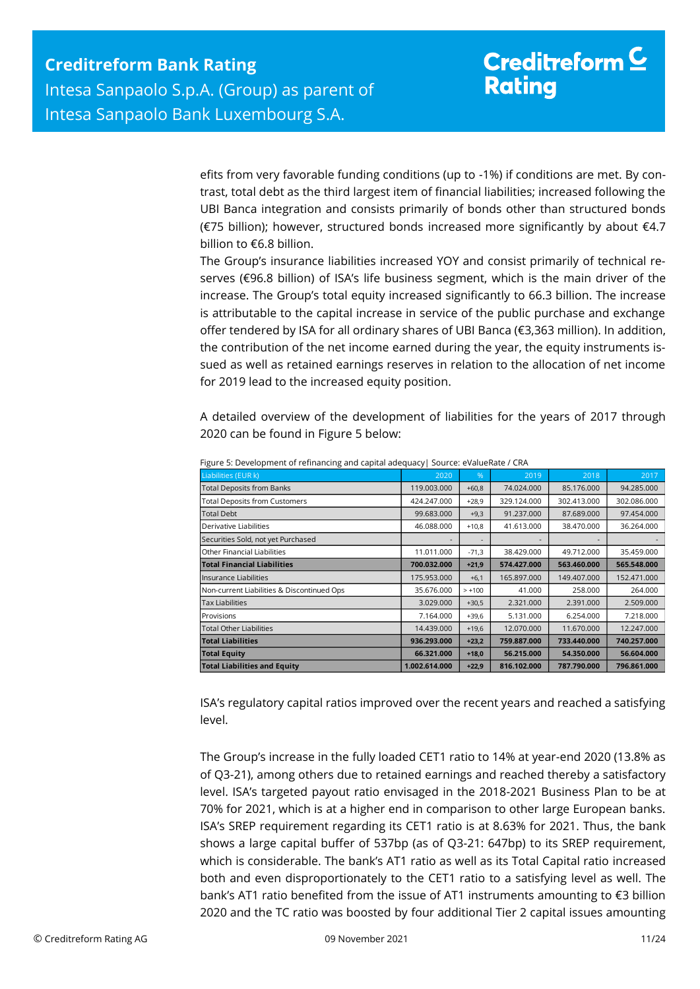efits from very favorable funding conditions (up to -1%) if conditions are met. By contrast, total debt as the third largest item of financial liabilities; increased following the UBI Banca integration and consists primarily of bonds other than structured bonds (€75 billion); however, structured bonds increased more significantly by about €4.7 billion to €6.8 billion.

The Group's insurance liabilities increased YOY and consist primarily of technical reserves (€96.8 billion) of ISA's life business segment, which is the main driver of the increase. The Group's total equity increased significantly to 66.3 billion. The increase is attributable to the capital increase in service of the public purchase and exchange offer tendered by ISA for all ordinary shares of UBI Banca (€3,363 million). In addition, the contribution of the net income earned during the year, the equity instruments issued as well as retained earnings reserves in relation to the allocation of net income for 2019 lead to the increased equity position.

A detailed overview of the development of liabilities for the years of 2017 through 2020 can be found in Figure 5 below:

| Liabilities (EUR k)                                                                                                                                                                    | 2020          | %        | 2019        | 2018        | 2017        |
|----------------------------------------------------------------------------------------------------------------------------------------------------------------------------------------|---------------|----------|-------------|-------------|-------------|
| <b>Total Deposits from Banks</b>                                                                                                                                                       | 119.003.000   | $+60,8$  | 74.024.000  | 85.176.000  | 94.285.000  |
| <b>Total Deposits from Customers</b>                                                                                                                                                   | 424.247.000   | $+28,9$  | 329.124.000 | 302.413.000 | 302.086.000 |
| Total Debt                                                                                                                                                                             | 99.683.000    | $+9,3$   | 91.237.000  | 87.689.000  | 97.454.000  |
| Derivative Liabilities                                                                                                                                                                 | 46.088.000    | $+10,8$  | 41.613.000  | 38.470.000  | 36.264.000  |
| Securities Sold, not yet Purchased                                                                                                                                                     |               |          |             |             |             |
| Other Financial Liabilities                                                                                                                                                            | 11.011.000    | $-71,3$  | 38.429.000  | 49.712.000  | 35.459.000  |
| <b>Total Financial Liabilities</b>                                                                                                                                                     | 700.032.000   | +21,9    | 574.427.000 | 563.460.000 | 565.548.000 |
| Insurance Liabilities                                                                                                                                                                  | 175.953.000   | $+6,1$   | 165.897.000 | 149.407.000 | 152.471.000 |
| Non-current Liabilities & Discontinued Ops                                                                                                                                             | 35.676.000    | $> +100$ | 41.000      | 258.000     | 264.000     |
| <b>Tax Liabilities</b>                                                                                                                                                                 | 3.029.000     | $+30,5$  | 2.321.000   | 2.391.000   | 2.509.000   |
| Provisions                                                                                                                                                                             | 7.164.000     | $+39,6$  | 5.131.000   | 6.254.000   | 7.218.000   |
| <b>Total Other Liabilities</b>                                                                                                                                                         | 14.439.000    | $+19,6$  | 12.070.000  | 11.670.000  | 12.247.000  |
| <b>Total Liabilities</b>                                                                                                                                                               | 936.293.000   | $+23,2$  | 759.887.000 | 733.440.000 | 740.257.000 |
|                                                                                                                                                                                        | 66.321.000    | $+18,0$  | 56.215.000  | 54.350.000  | 56.604.000  |
| <b>Total Equity</b>                                                                                                                                                                    |               |          |             |             |             |
| <b>Total Liabilities and Equity</b>                                                                                                                                                    | 1.002.614.000 | $+22,9$  | 816.102.000 | 787.790.000 | 796.861.000 |
| ISA's regulatory capital ratios improved over the recent years and reached a satisfying<br>level.                                                                                      |               |          |             |             |             |
| The Group's increase in the fully loaded CET1 ratio to 14% at year-end 2020 (13.8% as                                                                                                  |               |          |             |             |             |
| of Q3-21), among others due to retained earnings and reached thereby a satisfactory                                                                                                    |               |          |             |             |             |
| level. ISA's targeted payout ratio envisaged in the 2018-2021 Business Plan to be at                                                                                                   |               |          |             |             |             |
| 70% for 2021, which is at a higher end in comparison to other large European banks.                                                                                                    |               |          |             |             |             |
|                                                                                                                                                                                        |               |          |             |             |             |
| ISA's SREP requirement regarding its CET1 ratio is at 8.63% for 2021. Thus, the bank                                                                                                   |               |          |             |             |             |
| shows a large capital buffer of 537bp (as of Q3-21: 647bp) to its SREP requirement,                                                                                                    |               |          |             |             |             |
| which is considerable. The bank's AT1 ratio as well as its Total Capital ratio increased                                                                                               |               |          |             |             |             |
| both and even disproportionately to the CET1 ratio to a satisfying level as well. The                                                                                                  |               |          |             |             |             |
|                                                                                                                                                                                        |               |          |             |             |             |
| bank's AT1 ratio benefited from the issue of AT1 instruments amounting to $\epsilon$ 3 billion<br>2020 and the TC ratio was boosted by four additional Tier 2 capital issues amounting |               |          |             |             |             |

Figure 5: Development of refinancing and capital adequacy| Source: eValueRate / CRA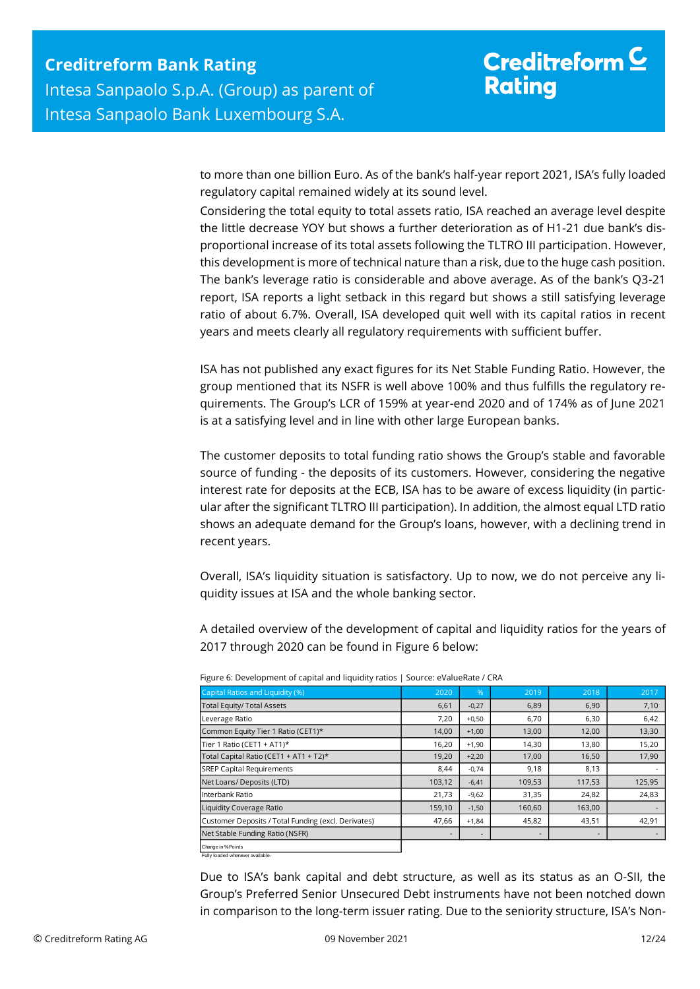to more than one billion Euro. As of the bank's half-year report 2021, ISA's fully loaded regulatory capital remained widely at its sound level.

Considering the total equity to total assets ratio, ISA reached an average level despite the little decrease YOY but shows a further deterioration as of H1-21 due bank's disproportional increase of its total assets following the TLTRO III participation. However, this development is more of technical nature than a risk, due to the huge cash position. The bank's leverage ratio is considerable and above average. As of the bank's Q3-21 report, ISA reports a light setback in this regard but shows a still satisfying leverage ratio of about 6.7%. Overall, ISA developed quit well with its capital ratios in recent years and meets clearly all regulatory requirements with sufficient buffer.

ISA has not published any exact figures for its Net Stable Funding Ratio. However, the group mentioned that its NSFR is well above 100% and thus fulfills the regulatory requirements. The Group's LCR of 159% at year-end 2020 and of 174% as of June 2021 is at a satisfying level and in line with other large European banks.

The customer deposits to total funding ratio shows the Group's stable and favorable source of funding - the deposits of its customers. However, considering the negative interest rate for deposits at the ECB, ISA has to be aware of excess liquidity (in particular after the significant TLTRO III participation). In addition, the almost equal LTD ratio shows an adequate demand for the Group's loans, however, with a declining trend in recent years.

Overall, ISA's liquidity situation is satisfactory. Up to now, we do not perceive any liquidity issues at ISA and the whole banking sector.

A detailed overview of the development of capital and liquidity ratios for the years of 2017 through 2020 can be found in Figure 6 below:

| Capital Ratios and Liquidity (%)                    | 2020                     | %              | 2019   | 2018   | 2017   |
|-----------------------------------------------------|--------------------------|----------------|--------|--------|--------|
| <b>Total Equity/ Total Assets</b>                   | 6,61                     | $-0,27$        | 6,89   | 6,90   | 7,10   |
| Leverage Ratio                                      | 7,20                     | $+0,50$        | 6,70   | 6,30   | 6,42   |
| Common Equity Tier 1 Ratio (CET1)*                  | 14,00                    | $+1,00$        | 13,00  | 12,00  | 13,30  |
| Tier 1 Ratio (CET1 + AT1)*                          | 16,20                    | $+1,90$        | 14,30  | 13,80  | 15,20  |
| Total Capital Ratio (CET1 + AT1 + T2)*              | 19,20                    | $+2,20$        | 17,00  | 16,50  | 17,90  |
| <b>SREP Capital Requirements</b>                    | 8,44                     | $-0,74$        | 9,18   | 8,13   |        |
| Net Loans/ Deposits (LTD)                           | 103,12                   | $-6,41$        | 109,53 | 117,53 | 125,95 |
| Interbank Ratio                                     | 21,73                    | $-9,62$        | 31,35  | 24,82  | 24,83  |
| <b>Liquidity Coverage Ratio</b>                     | 159,10                   | $-1,50$        | 160,60 | 163,00 |        |
| Customer Deposits / Total Funding (excl. Derivates) | 47,66                    | $+1,84$        | 45,82  | 43,51  | 42,91  |
| Net Stable Funding Ratio (NSFR)                     | $\overline{\phantom{a}}$ | $\overline{a}$ | ۰      | $\sim$ |        |
| Change in % Points                                  |                          |                |        |        |        |

Figure 6: Development of capital and liquidity ratios | Source: eValueRate / CRA

Fully loaded whenever available.

Due to ISA's bank capital and debt structure, as well as its status as an O-SII, the Group's Preferred Senior Unsecured Debt instruments have not been notched down in comparison to the long-term issuer rating. Due to the seniority structure, ISA's Non-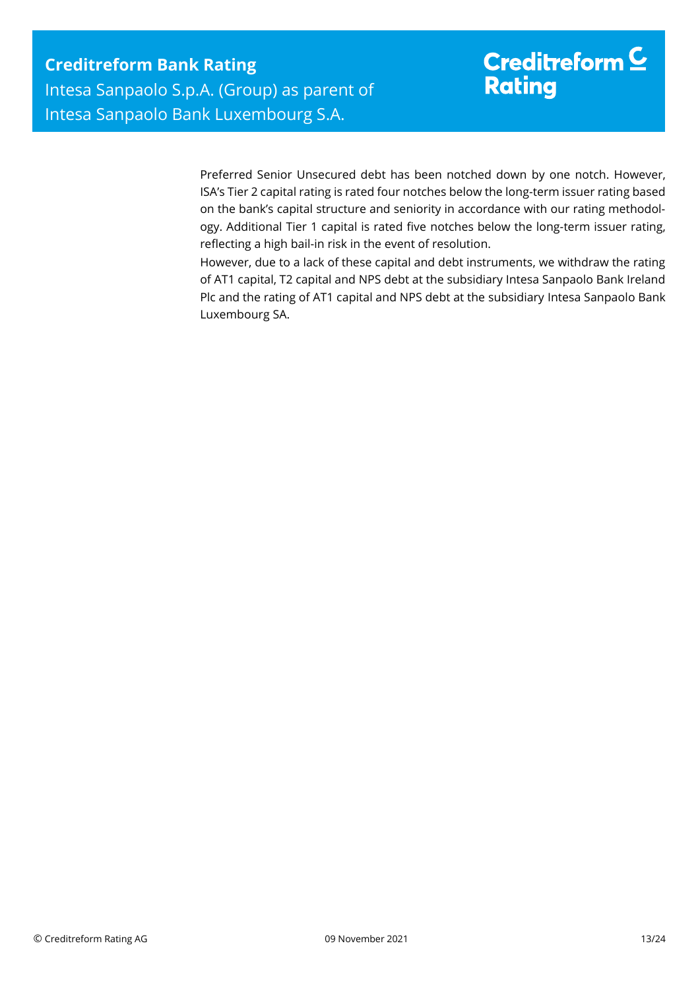Preferred Senior Unsecured debt has been notched down by one notch. However, ISA's Tier 2 capital rating is rated four notches below the long-term issuer rating based on the bank's capital structure and seniority in accordance with our rating methodology. Additional Tier 1 capital is rated five notches below the long-term issuer rating, reflecting a high bail-in risk in the event of resolution.

However, due to a lack of these capital and debt instruments, we withdraw the rating of AT1 capital, T2 capital and NPS debt at the subsidiary Intesa Sanpaolo Bank Ireland Plc and the rating of AT1 capital and NPS debt at the subsidiary Intesa Sanpaolo Bank Luxembourg SA.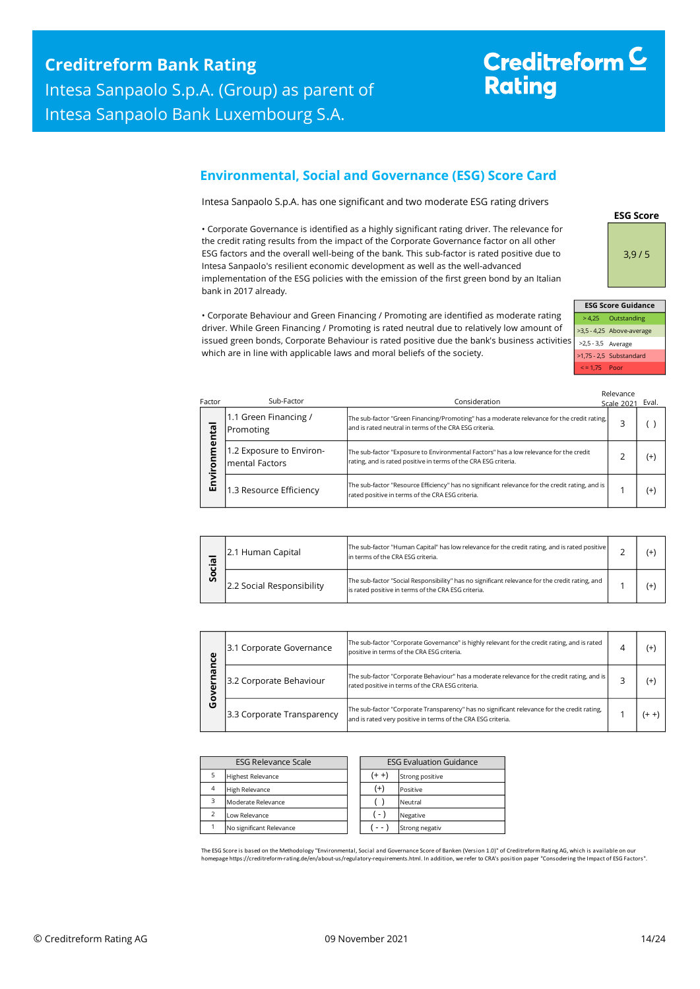# Creditreform<sup>C</sup> **Rating**

### <span id="page-13-0"></span>**Environmental, Social and Governance (ESG) Score Card**

Intesa Sanpaolo S.p.A. has one significant and two moderate ESG rating drivers

• Corporate Governance is identified as a highly significant rating driver. The relevance for the credit rating results from the impact of the Corporate Governance factor on all other ESG factors and the overall well-being of the bank. This sub-factor is rated positive due to Intesa Sanpaolo's resilient economic development as well as the well-advanced implementation of the ESG policies with the emission of the first green bond by an Italian bank in 2017 already.



|                    | <b>ESG Score Guidance</b> |
|--------------------|---------------------------|
|                    | > 4,25 Outstanding        |
|                    | >3,5 - 4,25 Above-average |
| >2,5 - 3,5 Average |                           |
|                    | >1,75 - 2,5 Substandard   |
| $\le$ = 1.75 Poor  |                           |

• Corporate Behaviour and Green Financing / Promoting are identified as moderate rating driver. While Green Financing / Promoting is rated neutral due to relatively low amount of issued green bonds, Corporate Behaviour is rated positive due the bank's business activities which are in line with applicable laws and moral beliefs of the society.

| Factor           | Sub-Factor                                 | Consideration                                                                                                                                            | Relevance<br><b>Scale 2021</b> | Eval.    |
|------------------|--------------------------------------------|----------------------------------------------------------------------------------------------------------------------------------------------------------|--------------------------------|----------|
| ntal             | 1.1 Green Financing /<br>Promoting         | The sub-factor "Green Financing/Promoting" has a moderate relevance for the credit rating,<br>and is rated neutral in terms of the CRA ESG criteria.     | 3                              |          |
| ี<br>E<br>ē<br>ō | 1.2 Exposure to Environ-<br>mental Factors | The sub-factor "Exposure to Environmental Factors" has a low relevance for the credit<br>rating, and is rated positive in terms of the CRA ESG criteria. |                                | $(+)$    |
| Envi             | 1.3 Resource Efficiency                    | The sub-factor "Resource Efficiency" has no significant relevance for the credit rating, and is<br>rated positive in terms of the CRA ESG criteria.      |                                | $^{(+)}$ |

| .യ           | 2.1 Human Capital         | The sub-factor "Human Capital" has low relevance for the credit rating, and is rated positive<br>In terms of the CRA ESG criteria.                    |  |
|--------------|---------------------------|-------------------------------------------------------------------------------------------------------------------------------------------------------|--|
| $\circ$<br>Ū | 2.2 Social Responsibility | The sub-factor "Social Responsibility" has no significant relevance for the credit rating, and<br>Is rated positive in terms of the CRA ESG criteria. |  |

| ω                       | 3.1 Corporate Governance   | The sub-factor "Corporate Governance" is highly relevant for the credit rating, and is rated<br>positive in terms of the CRA ESG criteria.                  |  |    |
|-------------------------|----------------------------|-------------------------------------------------------------------------------------------------------------------------------------------------------------|--|----|
| 3.2 Corporate Behaviour |                            | The sub-factor "Corporate Behaviour" has a moderate relevance for the credit rating, and is<br>rated positive in terms of the CRA ESG criteria.             |  | (+ |
| o<br>O                  | 3.3 Corporate Transparency | The sub-factor "Corporate Transparency" has no significant relevance for the credit rating,<br>and is rated very positive in terms of the CRA ESG criteria. |  |    |

| <b>ESG Relevance Scale</b> |                          |  | <b>ESG Evaluation Guidance</b> |                |  |
|----------------------------|--------------------------|--|--------------------------------|----------------|--|
|                            | <b>Highest Relevance</b> |  | $(+ +)$<br>Strong positive     |                |  |
| $\overline{4}$             | <b>High Relevance</b>    |  | $^{(+)}$                       | Positive       |  |
| 3                          | Moderate Relevance       |  |                                | Neutral        |  |
| $\overline{\phantom{a}}$   | Low Relevance            |  | ( - )                          | Negative       |  |
|                            | No significant Relevance |  |                                | Strong negativ |  |

The ESG Score is based on the Methodology "Environmental, Social and Governance Score of Banken (Version 1.0)" of Creditreform Rating AG, which is available on our homepage https://creditreform-rating.de/en/about-us/regulatory-requirements.html. In addition, we refer to CRA's position paper "Consodering the Impact of ESG Factors".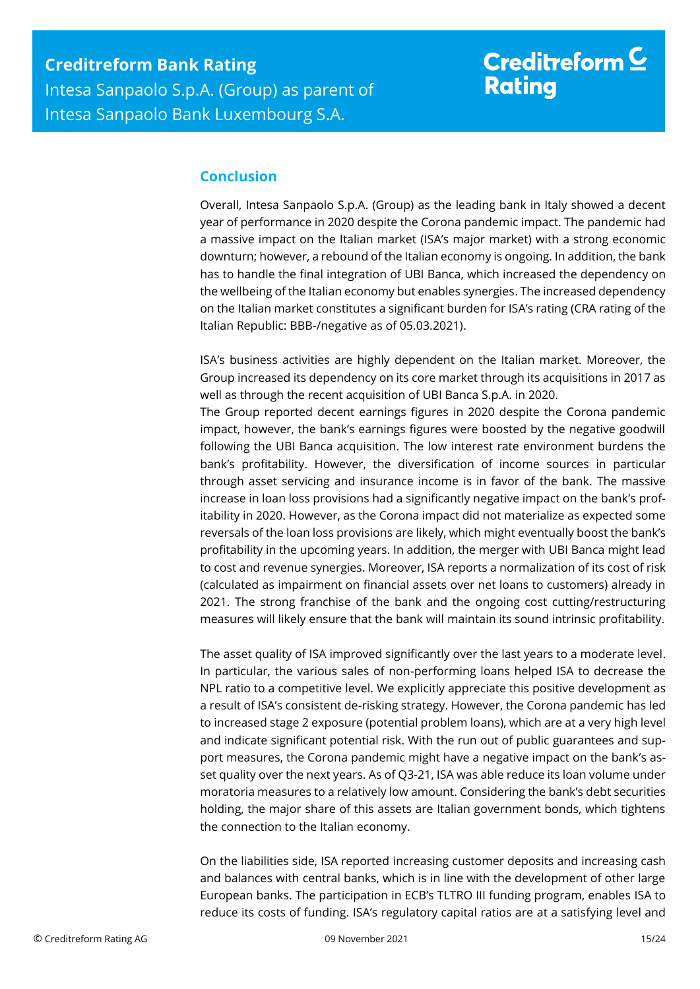## <span id="page-14-0"></span>**Conclusion**

Overall, Intesa Sanpaolo S.p.A. (Group) as the leading bank in Italy showed a decent year of performance in 2020 despite the Corona pandemic impact. The pandemic had a massive impact on the Italian market (ISA's major market) with a strong economic downturn; however, a rebound of the Italian economy is ongoing. In addition, the bank has to handle the final integration of UBI Banca, which increased the dependency on the wellbeing of the Italian economy but enables synergies. The increased dependency on the Italian market constitutes a significant burden for ISA's rating (CRA rating of the Italian Republic: BBB-/negative as of 05.03.2021).

ISA's business activities are highly dependent on the Italian market. Moreover, the Group increased its dependency on its core market through its acquisitions in 2017 as well as through the recent acquisition of UBI Banca S.p.A. in 2020.

The Group reported decent earnings figures in 2020 despite the Corona pandemic impact, however, the bank's earnings figures were boosted by the negative goodwill following the UBI Banca acquisition. The low interest rate environment burdens the bank's profitability. However, the diversification of income sources in particular through asset servicing and insurance income is in favor of the bank. The massive increase in loan loss provisions had a significantly negative impact on the bank's profitability in 2020. However, as the Corona impact did not materialize as expected some reversals of the loan loss provisions are likely, which might eventually boost the bank's profitability in the upcoming years. In addition, the merger with UBI Banca might lead to cost and revenue synergies. Moreover, ISA reports a normalization of its cost of risk (calculated as impairment on financial assets over net loans to customers) already in 2021. The strong franchise of the bank and the ongoing cost cutting/restructuring measures will likely ensure that the bank will maintain its sound intrinsic profitability.

The asset quality of ISA improved significantly over the last years to a moderate level. In particular, the various sales of non-performing loans helped ISA to decrease the NPL ratio to a competitive level. We explicitly appreciate this positive development as a result of ISA's consistent de-risking strategy. However, the Corona pandemic has led to increased stage 2 exposure (potential problem loans), which are at a very high level and indicate significant potential risk. With the run out of public guarantees and support measures, the Corona pandemic might have a negative impact on the bank's asset quality over the next years. As of Q3-21, ISA was able reduce its loan volume under moratoria measures to a relatively low amount. Considering the bank's debt securities holding, the major share of this assets are Italian government bonds, which tightens the connection to the Italian economy.

On the liabilities side, ISA reported increasing customer deposits and increasing cash and balances with central banks, which is in line with the development of other large European banks. The participation in ECB's TLTRO III funding program, enables ISA to reduce its costs of funding. ISA's regulatory capital ratios are at a satisfying level and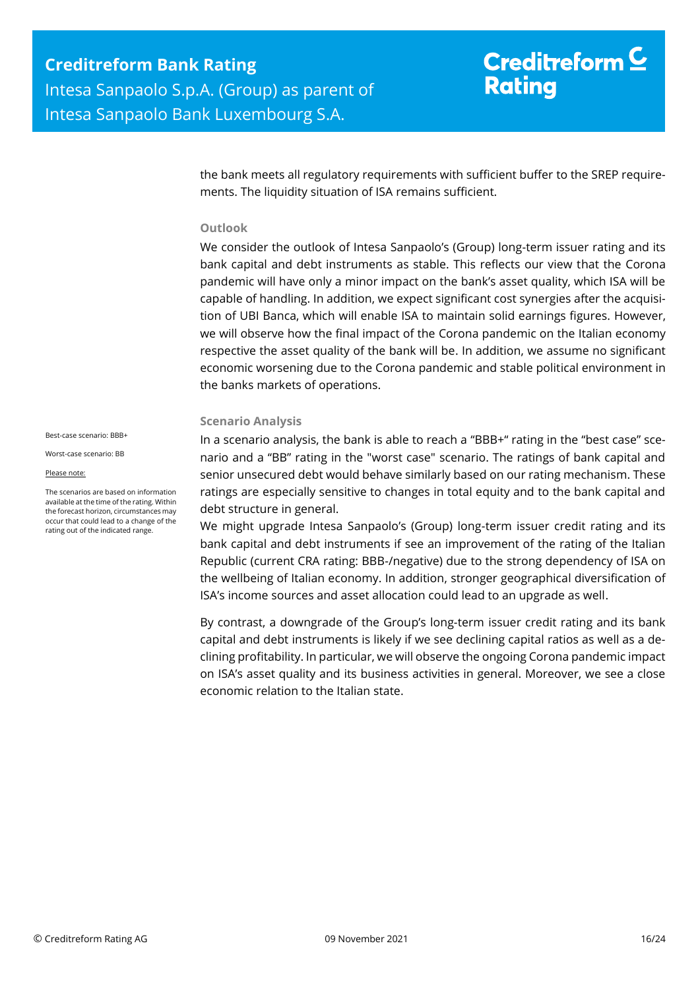the bank meets all regulatory requirements with sufficient buffer to the SREP requirements. The liquidity situation of ISA remains sufficient.

#### **Outlook**

We consider the outlook of Intesa Sanpaolo's (Group) long-term issuer rating and its bank capital and debt instruments as stable. This reflects our view that the Corona pandemic will have only a minor impact on the bank's asset quality, which ISA will be capable of handling. In addition, we expect significant cost synergies after the acquisition of UBI Banca, which will enable ISA to maintain solid earnings figures. However, we will observe how the final impact of the Corona pandemic on the Italian economy respective the asset quality of the bank will be. In addition, we assume no significant economic worsening due to the Corona pandemic and stable political environment in the banks markets of operations.

#### **Scenario Analysis**

In a scenario analysis, the bank is able to reach a "BBB+" rating in the "best case" scenario and a "BB" rating in the "worst case" scenario. The ratings of bank capital and senior unsecured debt would behave similarly based on our rating mechanism. These ratings are especially sensitive to changes in total equity and to the bank capital and debt structure in general.

We might upgrade Intesa Sanpaolo's (Group) long-term issuer credit rating and its bank capital and debt instruments if see an improvement of the rating of the Italian Republic (current CRA rating: BBB-/negative) due to the strong dependency of ISA on the wellbeing of Italian economy. In addition, stronger geographical diversification of ISA's income sources and asset allocation could lead to an upgrade as well.

By contrast, a downgrade of the Group's long-term issuer credit rating and its bank capital and debt instruments is likely if we see declining capital ratios as well as a declining profitability. In particular, we will observe the ongoing Corona pandemic impact on ISA's asset quality and its business activities in general. Moreover, we see a close economic relation to the Italian state.

Best-case scenario: BBB+

Worst-case scenario: BB

Please note:

The scenarios are based on information available at the time of the rating. Within the forecast horizon, circumstances may occur that could lead to a change of the rating out of the indicated range.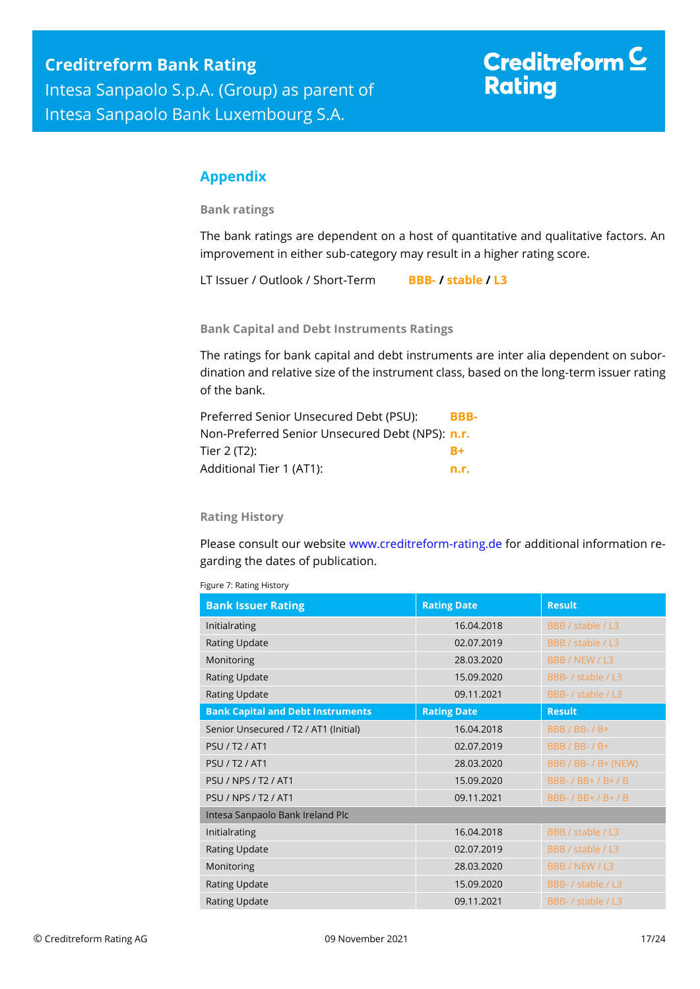# Creditreform  $C$ **Rating**

## <span id="page-16-0"></span>**Appendix**

**Bank ratings**

The bank ratings are dependent on a host of quantitative and qualitative factors. An improvement in either sub-category may result in a higher rating score.

LT Issuer / Outlook / Short-Term **BBB- / stable / L3**

**Bank Capital and Debt Instruments Ratings**

The ratings for bank capital and debt instruments are inter alia dependent on subordination and relative size of the instrument class, based on the long-term issuer rating of the bank.

| Preferred Senior Unsecured Debt (PSU):                 | BBB- |
|--------------------------------------------------------|------|
| Non-Preferred Senior Unsecured Debt (NPS): <b>n.r.</b> |      |
| Tier 2 (T2):                                           | $R+$ |
| Additional Tier 1 (AT1):                               | n.r. |

#### **Rating History**

Please consult our website [www.creditreform-rating.de](http://www.creditreform-rating.de/) for additional information regarding the dates of publication.

Figure 7: Rating History

| <b>Bank Issuer Rating</b>                | <b>Rating Date</b> | <b>Result</b>         |
|------------------------------------------|--------------------|-----------------------|
| Initialrating                            | 16.04.2018         | BBB / stable / L3     |
| <b>Rating Update</b>                     | 02.07.2019         | BBB / stable / L3     |
| Monitoring                               | 28.03.2020         | BBB / NEW / L3        |
| <b>Rating Update</b>                     | 15.09.2020         | BBB- / stable / L3    |
| Rating Update                            | 09.11.2021         | BBB- / stable / L3    |
| <b>Bank Capital and Debt Instruments</b> | <b>Rating Date</b> | <b>Result</b>         |
| Senior Unsecured / T2 / AT1 (Initial)    | 16.04.2018         | <b>BBB / BB- / B+</b> |
| <b>PSU / T2 / AT1</b>                    | 02.07.2019         | <b>BBB / BB- / B+</b> |
| <b>PSU / T2 / AT1</b>                    | 28.03.2020         | BBB / BB- / B+ (NEW)  |
| <b>PSU / NPS / T2 / AT1</b>              | 15.09.2020         | BBB- / BB+ / B+ / B   |
| PSU / NPS / T2 / AT1                     | 09.11.2021         | BBB- / BB+ / B+ / B   |
| Intesa Sanpaolo Bank Ireland Plc         |                    |                       |
| Initialrating                            | 16.04.2018         | BBB / stable / L3     |
| <b>Rating Update</b>                     | 02.07.2019         | BBB / stable / L3     |
| Monitoring                               | 28.03.2020         | BBB / NEW / L3        |
| <b>Rating Update</b>                     | 15.09.2020         | BBB- / stable / L3    |
| Rating Update                            | 09.11.2021         | BBB- / stable / L3    |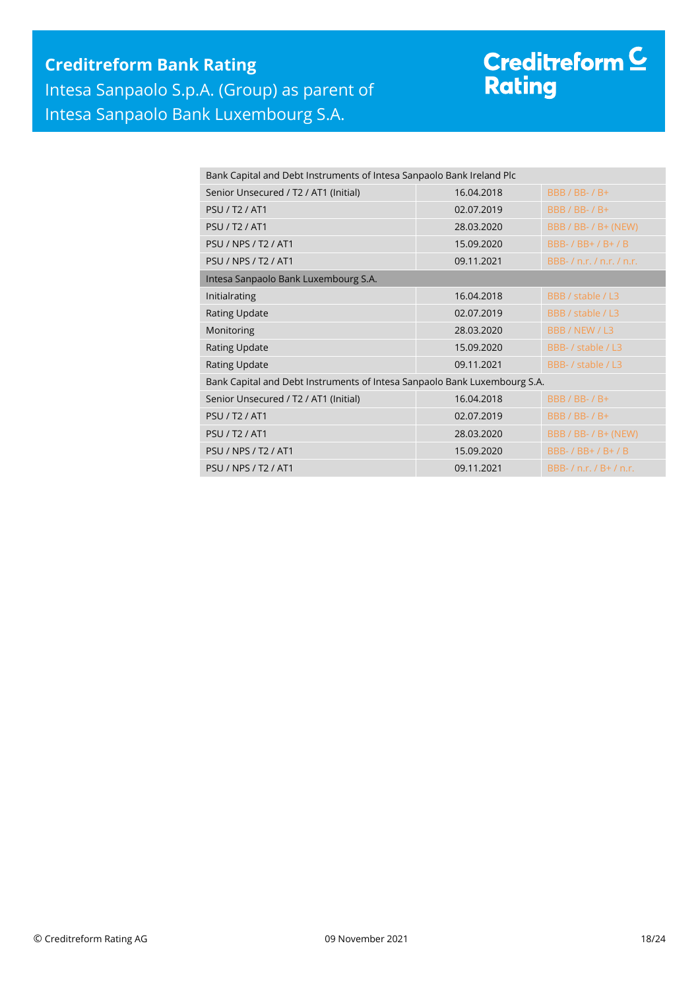## **Creditreform Bank Rating** Intesa Sanpaolo S.p.A. (Group) as parent of Intesa Sanpaolo Bank Luxembourg S.A.

# Creditreform <mark>C</mark><br>Rating

| Bank Capital and Debt Instruments of Intesa Sanpaolo Bank Ireland Plc     |            |                               |  |  |  |  |
|---------------------------------------------------------------------------|------------|-------------------------------|--|--|--|--|
| Senior Unsecured / T2 / AT1 (Initial)                                     | 16.04.2018 | $BBB / BB - / B +$            |  |  |  |  |
| <b>PSU / T2 / AT1</b>                                                     | 02.07.2019 | <b>BBB / BB- / B+</b>         |  |  |  |  |
| <b>PSU / T2 / AT1</b>                                                     | 28.03.2020 | BBB / BB- / B+ (NEW)          |  |  |  |  |
| <b>PSU / NPS / T2 / AT1</b>                                               | 15.09.2020 | BBB- / BB+ / B+ / B           |  |  |  |  |
| <b>PSU / NPS / T2 / AT1</b>                                               | 09.11.2021 | BBB-/n.r./n.r./n.r.           |  |  |  |  |
| Intesa Sanpaolo Bank Luxembourg S.A.                                      |            |                               |  |  |  |  |
| Initialrating                                                             | 16.04.2018 | BBB / stable / L3             |  |  |  |  |
| <b>Rating Update</b>                                                      | 02.07.2019 | BBB / stable / L3             |  |  |  |  |
| Monitoring                                                                | 28.03.2020 | BBB / NEW / L3                |  |  |  |  |
| <b>Rating Update</b>                                                      | 15.09.2020 | BBB- / stable / L3            |  |  |  |  |
| <b>Rating Update</b>                                                      | 09.11.2021 | BBB- / stable / L3            |  |  |  |  |
| Bank Capital and Debt Instruments of Intesa Sanpaolo Bank Luxembourg S.A. |            |                               |  |  |  |  |
| Senior Unsecured / T2 / AT1 (Initial)                                     | 16.04.2018 | <b>BBB / BB- / B+</b>         |  |  |  |  |
| <b>PSU / T2 / AT1</b>                                                     | 02.07.2019 | <b>BBB / BB- / B+</b>         |  |  |  |  |
| <b>PSU / T2 / AT1</b>                                                     | 28.03.2020 | BBB / BB- / B+ (NEW)          |  |  |  |  |
| <b>PSU / NPS / T2 / AT1</b>                                               | 15.09.2020 | BBB- / BB+ / B+ / B           |  |  |  |  |
| <b>PSU / NPS / T2 / AT1</b>                                               | 09.11.2021 | BBB- $/$ n.r. $/$ B+ $/$ n.r. |  |  |  |  |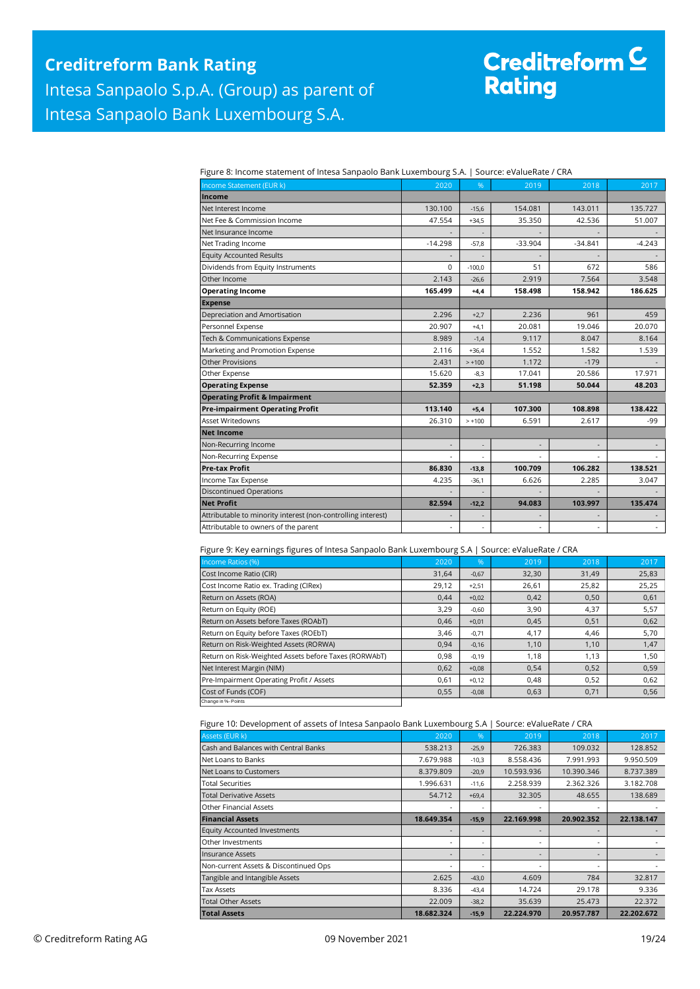## **Creditreform Bank Rating** Intesa Sanpaolo S.p.A. (Group) as parent of Intesa Sanpaolo Bank Luxembourg S.A.

# Creditreform C<br>Rating

Figure 8: Income statement of Intesa Sanpaolo Bank Luxembourg S.A. | Source: eValueRate / CRA

| Adi e oi meonie statement oi mtesa sanpaoio saim Editerno oang sin i |              |          | --------- |                          |          |
|----------------------------------------------------------------------|--------------|----------|-----------|--------------------------|----------|
| Income Statement (EUR k)                                             | 2020         | %        | 2019      | 2018                     | 2017     |
| Income                                                               |              |          |           |                          |          |
| Net Interest Income                                                  | 130.100      | $-15,6$  | 154.081   | 143.011                  | 135.727  |
| Net Fee & Commission Income                                          | 47.554       | $+34,5$  | 35.350    | 42.536                   | 51.007   |
| Net Insurance Income                                                 |              |          |           |                          |          |
| Net Trading Income                                                   | $-14.298$    | $-57,8$  | $-33.904$ | $-34.841$                | $-4.243$ |
| <b>Equity Accounted Results</b>                                      |              |          |           |                          |          |
| Dividends from Equity Instruments                                    | $\Omega$     | $-100.0$ | 51        | 672                      | 586      |
| Other Income                                                         | 2.143        | $-26,6$  | 2.919     | 7.564                    | 3.548    |
| <b>Operating Income</b>                                              | 165.499      | $+4,4$   | 158.498   | 158.942                  | 186.625  |
| <b>Expense</b>                                                       |              |          |           |                          |          |
| Depreciation and Amortisation                                        | 2.296        | $+2.7$   | 2.236     | 961                      | 459      |
| Personnel Expense                                                    | 20.907       | $+4.1$   | 20.081    | 19.046                   | 20.070   |
| Tech & Communications Expense                                        | 8.989        | $-1,4$   | 9.117     | 8.047                    | 8.164    |
| Marketing and Promotion Expense                                      | 2.116        | $+36,4$  | 1.552     | 1.582                    | 1.539    |
| <b>Other Provisions</b>                                              | 2.431        | $> +100$ | 1.172     | $-179$                   |          |
| Other Expense                                                        | 15.620       | $-8,3$   | 17.041    | 20.586                   | 17.971   |
| <b>Operating Expense</b>                                             | 52.359       | $+2,3$   | 51.198    | 50.044                   | 48.203   |
| <b>Operating Profit &amp; Impairment</b>                             |              |          |           |                          |          |
| <b>Pre-impairment Operating Profit</b>                               | 113.140      | $+5.4$   | 107.300   | 108.898                  | 138.422  |
| <b>Asset Writedowns</b>                                              | 26.310       | $> +100$ | 6.591     | 2.617                    | -99      |
| <b>Net Income</b>                                                    |              |          |           |                          |          |
| Non-Recurring Income                                                 | $\centerdot$ |          |           | $\overline{\phantom{a}}$ |          |
| Non-Recurring Expense                                                |              |          |           |                          |          |
| <b>Pre-tax Profit</b>                                                | 86.830       | $-13,8$  | 100.709   | 106.282                  | 138.521  |
| Income Tax Expense                                                   | 4.235        | $-36,1$  | 6.626     | 2.285                    | 3.047    |
| <b>Discontinued Operations</b>                                       |              |          |           |                          |          |
| <b>Net Profit</b>                                                    | 82.594       | $-12,2$  | 94.083    | 103.997                  | 135.474  |
| Attributable to minority interest (non-controlling interest)         |              |          |           |                          |          |
| Attributable to owners of the parent                                 | ÷,           |          |           | ٠                        | $\omega$ |

Figure 9: Key earnings figures of Intesa Sanpaolo Bank Luxembourg S.A | Source: eValueRate / CRA

| Income Ratios (%)                                     | 2020  | 96'     | 2019  | 2018  | 2017  |
|-------------------------------------------------------|-------|---------|-------|-------|-------|
| Cost Income Ratio (CIR)                               | 31,64 | $-0,67$ | 32,30 | 31,49 | 25,83 |
| Cost Income Ratio ex. Trading (CIRex)                 | 29,12 | $+2,51$ | 26,61 | 25,82 | 25,25 |
| Return on Assets (ROA)                                | 0,44  | $+0,02$ | 0,42  | 0,50  | 0,61  |
| Return on Equity (ROE)                                | 3,29  | $-0,60$ | 3,90  | 4,37  | 5,57  |
| Return on Assets before Taxes (ROAbT)                 | 0.46  | $+0,01$ | 0,45  | 0,51  | 0,62  |
| Return on Equity before Taxes (ROEbT)                 | 3,46  | $-0,71$ | 4,17  | 4,46  | 5,70  |
| Return on Risk-Weighted Assets (RORWA)                | 0,94  | $-0,16$ | 1,10  | 1,10  | 1,47  |
| Return on Risk-Weighted Assets before Taxes (RORWAbT) | 0,98  | $-0,19$ | 1,18  | 1,13  | 1,50  |
| Net Interest Margin (NIM)                             | 0,62  | $+0,08$ | 0,54  | 0,52  | 0,59  |
| Pre-Impairment Operating Profit / Assets              | 0,61  | $+0,12$ | 0,48  | 0,52  | 0,62  |
| Cost of Funds (COF)                                   | 0,55  | $-0,08$ | 0,63  | 0,71  | 0,56  |
| Change in %- Points                                   |       |         |       |       |       |

Figure 10: Development of assets of Intesa Sanpaolo Bank Luxembourg S.A | Source: eValueRate / CRA

| Assets (EUR k)                        | 2020       | %       | 2019       | 2018       | 2017       |
|---------------------------------------|------------|---------|------------|------------|------------|
| Cash and Balances with Central Banks  | 538.213    | $-25,9$ | 726.383    | 109.032    | 128.852    |
| Net Loans to Banks                    | 7.679.988  | $-10,3$ | 8.558.436  | 7.991.993  | 9.950.509  |
| Net Loans to Customers                | 8.379.809  | $-20,9$ | 10.593.936 | 10.390.346 | 8.737.389  |
| <b>Total Securities</b>               | 1.996.631  | $-11,6$ | 2.258.939  | 2.362.326  | 3.182.708  |
| <b>Total Derivative Assets</b>        | 54.712     | $+69,4$ | 32.305     | 48.655     | 138.689    |
| <b>Other Financial Assets</b>         |            |         |            |            |            |
| <b>Financial Assets</b>               | 18.649.354 | $-15,9$ | 22.169.998 | 20.902.352 | 22.138.147 |
| <b>Equity Accounted Investments</b>   |            |         |            | -          |            |
| Other Investments                     |            |         |            | -          |            |
| <b>Insurance Assets</b>               |            |         |            | ٠          |            |
| Non-current Assets & Discontinued Ops |            |         |            | ٠          |            |
| Tangible and Intangible Assets        | 2.625      | $-43,0$ | 4.609      | 784        | 32.817     |
| <b>Tax Assets</b>                     | 8.336      | $-43,4$ | 14.724     | 29.178     | 9.336      |
| <b>Total Other Assets</b>             | 22.009     | $-38,2$ | 35.639     | 25.473     | 22.372     |
| <b>Total Assets</b>                   | 18.682.324 | $-15,9$ | 22.224.970 | 20.957.787 | 22.202.672 |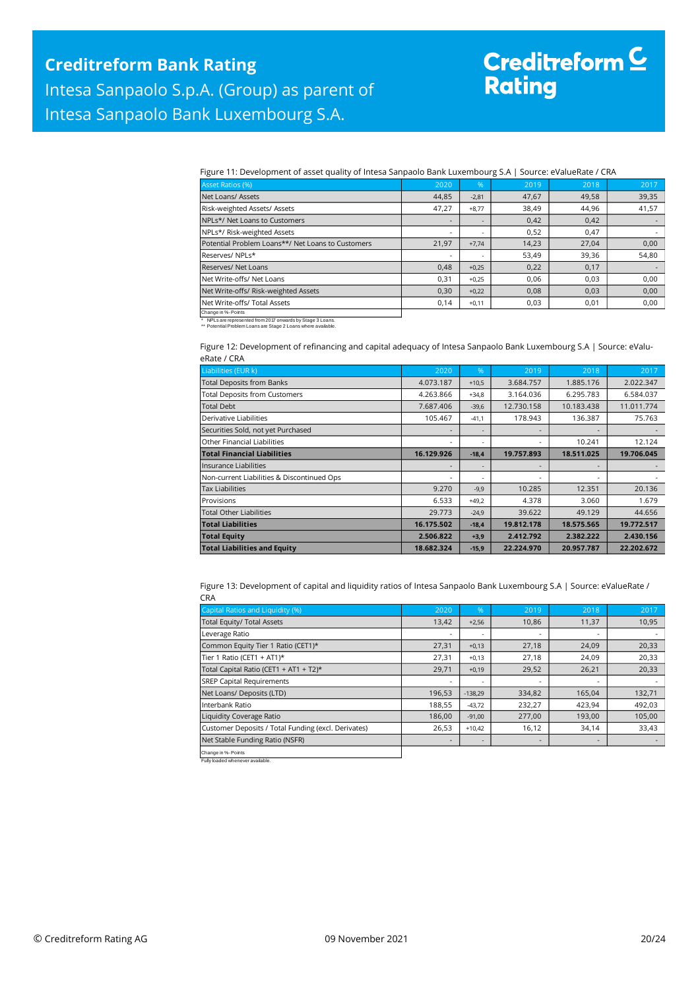# Creditreform <mark>C</mark><br>Rating

Figure 11: Development of asset quality of Intesa Sanpaolo Bank Luxembourg S.A | Source: eValueRate / CRA

| <b>Asset Ratios (%)</b>                           | 2020                     | $\sqrt{96}$ | 2019  | 2018  | 2017  |
|---------------------------------------------------|--------------------------|-------------|-------|-------|-------|
| Net Loans/ Assets                                 | 44,85                    | $-2,81$     | 47,67 | 49,58 | 39,35 |
| Risk-weighted Assets/ Assets                      | 47,27                    | $+8,77$     | 38,49 | 44,96 | 41,57 |
| NPLs*/ Net Loans to Customers                     |                          |             | 0,42  | 0,42  |       |
| NPLs*/ Risk-weighted Assets                       | $\sim$                   |             | 0,52  | 0.47  |       |
| Potential Problem Loans**/ Net Loans to Customers | 21.97                    | $+7,74$     | 14,23 | 27.04 | 0,00  |
| Reserves/NPLs*                                    | $\overline{\phantom{a}}$ |             | 53,49 | 39,36 | 54,80 |
| Reserves/ Net Loans                               | 0,48                     | $+0,25$     | 0,22  | 0,17  |       |
| Net Write-offs/ Net Loans                         | 0.31                     | $+0,25$     | 0,06  | 0.03  | 0,00  |
| Net Write-offs/ Risk-weighted Assets              | 0,30                     | $+0,22$     | 0,08  | 0,03  | 0,00  |
| Net Write-offs/ Total Assets                      | 0,14                     | $+0,11$     | 0,03  | 0,01  | 0,00  |
| Change in %- Points                               |                          |             |       |       |       |

Change in %- Points \* NPLs are represented from 2017 onwards by Stage 3 Loans. \*\* Potential Problem Loans are Stage 2 Loans where available.

Figure 12: Development of refinancing and capital adequacy of Intesa Sanpaolo Bank Luxembourg S.A | Source: eValueRate / CRA

| ENGLE / UNA                                |            |         |            |            |            |
|--------------------------------------------|------------|---------|------------|------------|------------|
| Liabilities (EUR k)                        | 2020       | %       | 2019       | 2018       | 2017       |
| <b>Total Deposits from Banks</b>           | 4.073.187  | $+10,5$ | 3.684.757  | 1.885.176  | 2.022.347  |
| <b>Total Deposits from Customers</b>       | 4.263.866  | $+34,8$ | 3.164.036  | 6.295.783  | 6.584.037  |
| <b>Total Debt</b>                          | 7.687.406  | $-39,6$ | 12.730.158 | 10.183.438 | 11.011.774 |
| Derivative Liabilities                     | 105.467    | $-41.1$ | 178.943    | 136.387    | 75.763     |
| Securities Sold, not yet Purchased         | ٠          |         |            |            |            |
| Other Financial Liabilities                | ٠          | ٠       |            | 10.241     | 12.124     |
| <b>Total Financial Liabilities</b>         | 16.129.926 | $-18.4$ | 19.757.893 | 18.511.025 | 19.706.045 |
| Insurance Liabilities                      |            |         |            |            |            |
| Non-current Liabilities & Discontinued Ops | ٠          |         |            |            |            |
| <b>Tax Liabilities</b>                     | 9.270      | $-9,9$  | 10.285     | 12.351     | 20.136     |
| Provisions                                 | 6.533      | $+49,2$ | 4.378      | 3.060      | 1.679      |
| <b>Total Other Liabilities</b>             | 29.773     | $-24,9$ | 39.622     | 49.129     | 44.656     |
| <b>Total Liabilities</b>                   | 16.175.502 | $-18,4$ | 19.812.178 | 18.575.565 | 19.772.517 |
| <b>Total Equity</b>                        | 2.506.822  | $+3,9$  | 2.412.792  | 2.382.222  | 2.430.156  |
| <b>Total Liabilities and Equity</b>        | 18.682.324 | $-15,9$ | 22.224.970 | 20.957.787 | 22.202.672 |

Figure 13: Development of capital and liquidity ratios of Intesa Sanpaolo Bank Luxembourg S.A | Source: eValueRate / CRA

| Capital Ratios and Liquidity (%)                    | 2020                     | 96'                      | 2019   | 2018                     | 2017                     |
|-----------------------------------------------------|--------------------------|--------------------------|--------|--------------------------|--------------------------|
| Total Equity/ Total Assets                          | 13,42                    | $+2,56$                  | 10,86  | 11,37                    | 10,95                    |
| Leverage Ratio                                      | $\overline{\phantom{a}}$ |                          |        |                          |                          |
| Common Equity Tier 1 Ratio (CET1)*                  | 27,31                    | $+0,13$                  | 27,18  | 24,09                    | 20,33                    |
| Tier 1 Ratio (CET1 + AT1)*                          | 27.31                    | $+0.13$                  | 27,18  | 24,09                    | 20,33                    |
| Total Capital Ratio (CET1 + AT1 + T2)*              | 29,71                    | $+0,19$                  | 29,52  | 26,21                    | 20,33                    |
| <b>SREP Capital Requirements</b>                    | $\overline{\phantom{a}}$ | $\overline{a}$           |        | ٠                        | $\overline{\phantom{a}}$ |
| Net Loans/ Deposits (LTD)                           | 196.53                   | $-138,29$                | 334,82 | 165,04                   | 132,71                   |
| Interbank Ratio                                     | 188,55                   | $-43.72$                 | 232,27 | 423,94                   | 492,03                   |
| Liquidity Coverage Ratio                            | 186,00                   | $-91,00$                 | 277,00 | 193,00                   | 105,00                   |
| Customer Deposits / Total Funding (excl. Derivates) | 26,53                    | $+10,42$                 | 16,12  | 34,14                    | 33,43                    |
| Net Stable Funding Ratio (NSFR)                     | $\overline{\phantom{a}}$ | $\overline{\phantom{a}}$ |        | $\overline{\phantom{a}}$ |                          |
| Change in %- Points                                 |                          |                          |        |                          |                          |

Fully loaded whenever available.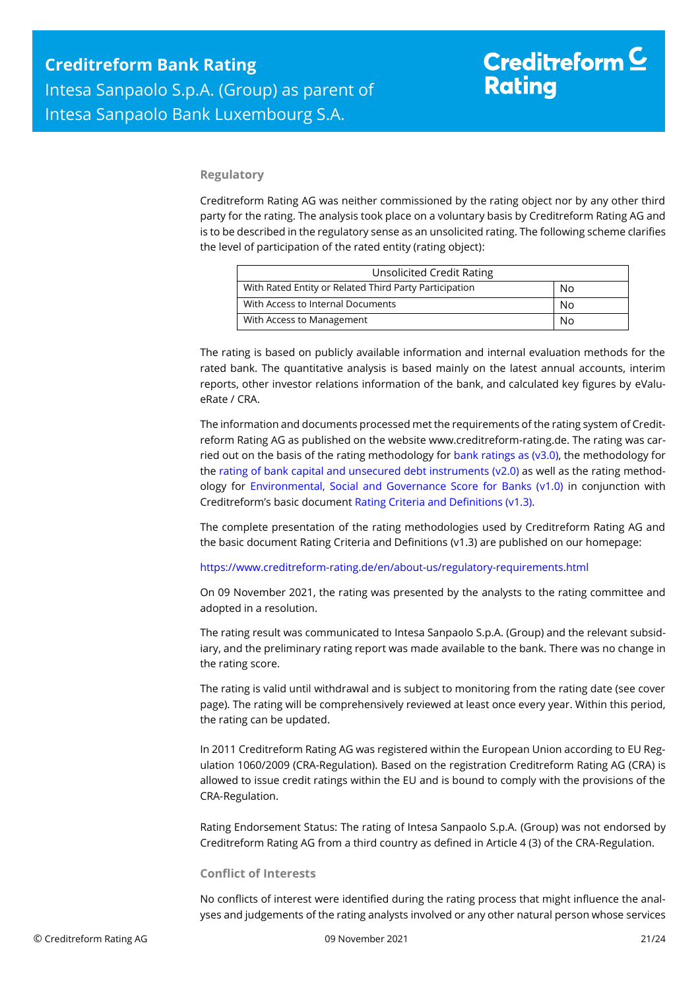#### **Regulatory**

Creditreform Rating AG was neither commissioned by the rating object nor by any other third party for the rating. The analysis took place on a voluntary basis by Creditreform Rating AG and is to be described in the regulatory sense as an unsolicited rating. The following scheme clarifies the level of participation of the rated entity (rating object):

| <b>Unsolicited Credit Rating</b>                       |    |  |  |  |
|--------------------------------------------------------|----|--|--|--|
| With Rated Entity or Related Third Party Participation | No |  |  |  |
| With Access to Internal Documents                      | No |  |  |  |
| With Access to Management                              | No |  |  |  |

The rating is based on publicly available information and internal evaluation methods for the rated bank. The quantitative analysis is based mainly on the latest annual accounts, interim reports, other investor relations information of the bank, and calculated key figures by eValueRate / CRA.

The information and documents processed met the requirements of the rating system of Creditreform Rating AG as published on the website www.creditreform-rating.de. The rating was carried out on the basis of the rating methodology for [bank ratings as \(v3.0\),](https://www.creditreform-rating.de/en/about-us/regulatory-requirements.html?file=files/content/downloads/Externes%20Rating/Regulatorische%20Anforderungen/EN/Ratingmethodiken%20EN/Rating%20Methodology%20Bank%20Ratings%20v3.0.pdf) the methodology for the [rating of bank capital and unsecured debt instruments \(v2.0\)](https://www.creditreform-rating.de/en/about-us/regulatory-requirements.html?file=files/content/downloads/Externes%20Rating/Regulatorische%20Anforderungen/EN/Ratingmethodiken%20EN/Bank%20Capital%20and%20Unsecured%20Debt%20Instruments%20Methodology.pdf) as well as the rating methodology for [Environmental, Social and Governance Score for Banks \(v1.0\)](https://www.creditreform-rating.de/en/about-us/regulatory-requirements.html?file=files/content/downloads/Externes%20Rating/Regulatorische%20Anforderungen/EN/Ratingmethodiken%20EN/Rating%20Methodology%20ESG%20v1.0.pdf) in conjunction with Creditreform's basic document [Rating Criteria and Definitions \(v1.3\).](https://www.creditreform-rating.de/en/about-us/regulatory-requirements.html?file=files/content/downloads/Externes%20Rating/Regulatorische%20Anforderungen/EN/Ratingmethodiken%20EN/CRAG%20Rating%20Criteria%20and%20Definitions.pdf)

The complete presentation of the rating methodologies used by Creditreform Rating AG and the basic document Rating Criteria and Definitions (v1.3) are published on our homepage:

<https://www.creditreform-rating.de/en/about-us/regulatory-requirements.html>

On 09 November 2021, the rating was presented by the analysts to the rating committee and adopted in a resolution.

The rating result was communicated to Intesa Sanpaolo S.p.A. (Group) and the relevant subsidiary, and the preliminary rating report was made available to the bank. There was no change in the rating score.

The rating is valid until withdrawal and is subject to monitoring from the rating date (see cover page). The rating will be comprehensively reviewed at least once every year. Within this period, the rating can be updated.

In 2011 Creditreform Rating AG was registered within the European Union according to EU Regulation 1060/2009 (CRA-Regulation). Based on the registration Creditreform Rating AG (CRA) is allowed to issue credit ratings within the EU and is bound to comply with the provisions of the CRA-Regulation.

Rating Endorsement Status: The rating of Intesa Sanpaolo S.p.A. (Group) was not endorsed by Creditreform Rating AG from a third country as defined in Article 4 (3) of the CRA-Regulation.

#### **Conflict of Interests**

No conflicts of interest were identified during the rating process that might influence the analyses and judgements of the rating analysts involved or any other natural person whose services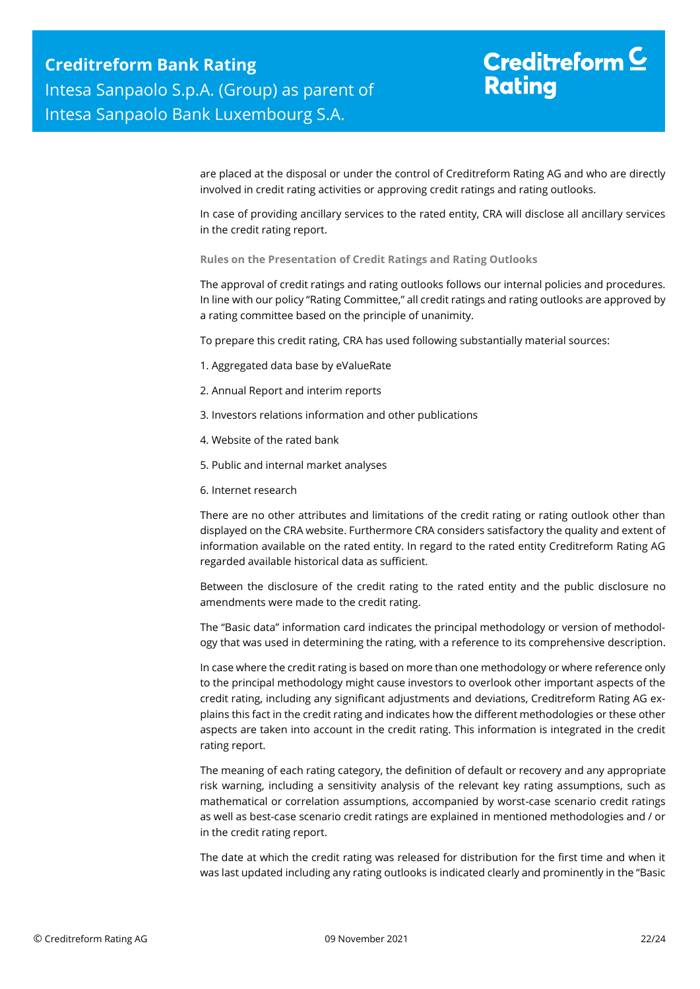## Creditreform  $\mathsf{\underline{C}}$ **Rating**

are placed at the disposal or under the control of Creditreform Rating AG and who are directly involved in credit rating activities or approving credit ratings and rating outlooks.

In case of providing ancillary services to the rated entity, CRA will disclose all ancillary services in the credit rating report.

**Rules on the Presentation of Credit Ratings and Rating Outlooks**

The approval of credit ratings and rating outlooks follows our internal policies and procedures. In line with our policy "Rating Committee," all credit ratings and rating outlooks are approved by a rating committee based on the principle of unanimity.

To prepare this credit rating, CRA has used following substantially material sources:

- 1. Aggregated data base by eValueRate
- 2. Annual Report and interim reports
- 3. Investors relations information and other publications
- 4. Website of the rated bank
- 5. Public and internal market analyses
- 6. Internet research

There are no other attributes and limitations of the credit rating or rating outlook other than displayed on the CRA website. Furthermore CRA considers satisfactory the quality and extent of information available on the rated entity. In regard to the rated entity Creditreform Rating AG regarded available historical data as sufficient.

Between the disclosure of the credit rating to the rated entity and the public disclosure no amendments were made to the credit rating.

The "Basic data" information card indicates the principal methodology or version of methodology that was used in determining the rating, with a reference to its comprehensive description.

In case where the credit rating is based on more than one methodology or where reference only to the principal methodology might cause investors to overlook other important aspects of the credit rating, including any significant adjustments and deviations, Creditreform Rating AG explains this fact in the credit rating and indicates how the different methodologies or these other aspects are taken into account in the credit rating. This information is integrated in the credit rating report.

The meaning of each rating category, the definition of default or recovery and any appropriate risk warning, including a sensitivity analysis of the relevant key rating assumptions, such as mathematical or correlation assumptions, accompanied by worst-case scenario credit ratings as well as best-case scenario credit ratings are explained in mentioned methodologies and / or in the credit rating report.

The date at which the credit rating was released for distribution for the first time and when it was last updated including any rating outlooks is indicated clearly and prominently in the "Basic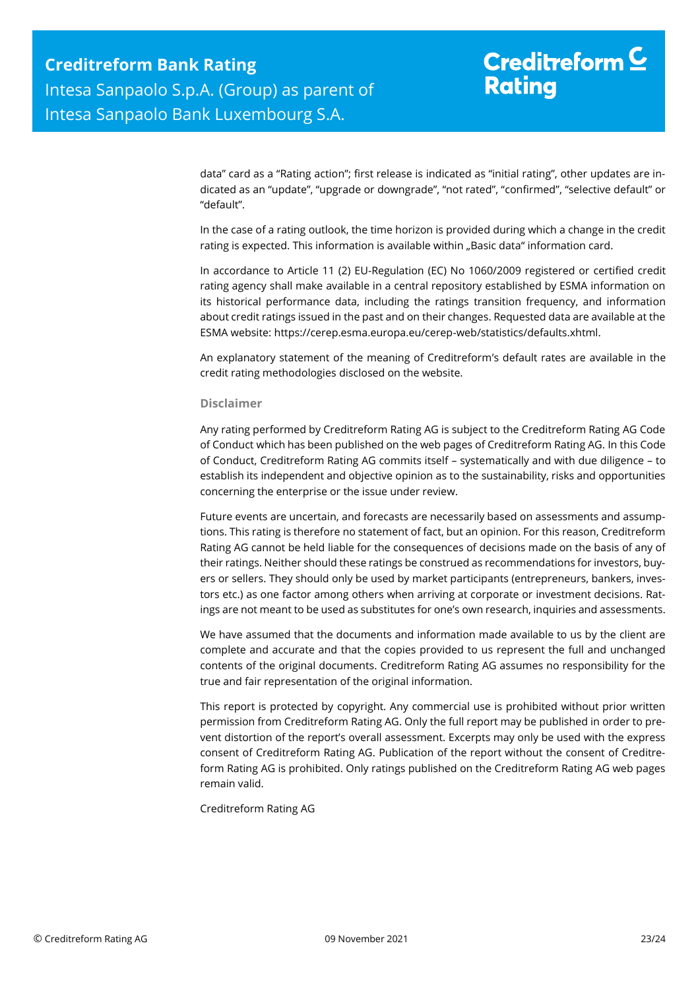## Creditreform  $\mathsf{\underline{C}}$ **Rating**

data" card as a "Rating action"; first release is indicated as "initial rating", other updates are indicated as an "update", "upgrade or downgrade", "not rated", "confirmed", "selective default" or "default".

In the case of a rating outlook, the time horizon is provided during which a change in the credit rating is expected. This information is available within "Basic data" information card.

In accordance to Article 11 (2) EU-Regulation (EC) No 1060/2009 registered or certified credit rating agency shall make available in a central repository established by ESMA information on its historical performance data, including the ratings transition frequency, and information about credit ratings issued in the past and on their changes. Requested data are available at the ESMA website: https://cerep.esma.europa.eu/cerep-web/statistics/defaults.xhtml.

An explanatory statement of the meaning of Creditreform's default rates are available in the credit rating methodologies disclosed on the website.

#### **Disclaimer**

Any rating performed by Creditreform Rating AG is subject to the Creditreform Rating AG Code of Conduct which has been published on the web pages of Creditreform Rating AG. In this Code of Conduct, Creditreform Rating AG commits itself – systematically and with due diligence – to establish its independent and objective opinion as to the sustainability, risks and opportunities concerning the enterprise or the issue under review.

Future events are uncertain, and forecasts are necessarily based on assessments and assumptions. This rating is therefore no statement of fact, but an opinion. For this reason, Creditreform Rating AG cannot be held liable for the consequences of decisions made on the basis of any of their ratings. Neither should these ratings be construed as recommendations for investors, buyers or sellers. They should only be used by market participants (entrepreneurs, bankers, investors etc.) as one factor among others when arriving at corporate or investment decisions. Ratings are not meant to be used as substitutes for one's own research, inquiries and assessments.

We have assumed that the documents and information made available to us by the client are complete and accurate and that the copies provided to us represent the full and unchanged contents of the original documents. Creditreform Rating AG assumes no responsibility for the true and fair representation of the original information.

This report is protected by copyright. Any commercial use is prohibited without prior written permission from Creditreform Rating AG. Only the full report may be published in order to prevent distortion of the report's overall assessment. Excerpts may only be used with the express consent of Creditreform Rating AG. Publication of the report without the consent of Creditreform Rating AG is prohibited. Only ratings published on the Creditreform Rating AG web pages remain valid.

Creditreform Rating AG